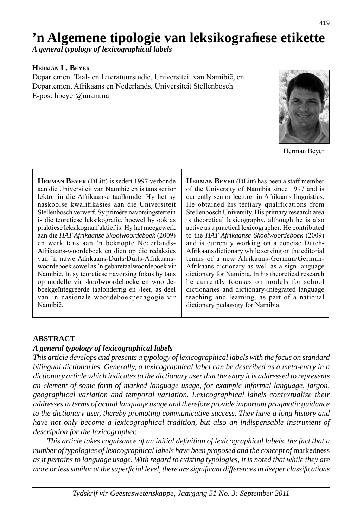# **'n Algemene tipologie van leksikografi ese etikette**

*A general typology of lexicographical labels*

### **HERMAN L. BEYER**

Departement Taal- en Literatuurstudie, Universiteit van Namibië, en Departement Afrikaans en Nederlands, Universiteit Stellenbosch E-pos: hbeyer@unam.na



Herman Beyer

**HERMAN BEYER** (DLitt) is sedert 1997 verbonde aan die Universiteit van Namibië en is tans senior lektor in die Afrikaanse taalkunde. Hy het sy naskoolse kwalifikasies aan die Universiteit Stellenbosch verwerf. Sy primêre navorsingsterrein is die teoretiese leksikografie, hoewel hy ook as praktiese leksikograaf aktief is: Hy het meegewerk aan die *HAT Afrikaanse Skoolwoordeboek* (2009) en werk tans aan 'n beknopte Nederlands-Afrikaans-woordeboek en dien op die redaksies van 'n nuwe Afrikaans-Duits/Duits-Afrikaanswoordeboek sowel as 'n gebaretaalwoordeboek vir Namibië. In sy teoretiese navorsing fokus hy tans op modelle vir skoolwoordeboeke en woordeboekgeïntegreerde taalonderrig en -leer, as deel van 'n nasionale woordeboekpedagogie vir Namibië.

**HERMAN BEYER** (DLitt) has been a staff member of the University of Namibia since 1997 and is currently senior lecturer in Afrikaans linguistics. He obtained his tertiary qualifications from Stellenbosch University. His primary research area is theoretical lexicography, although he is also active as a practical lexicographer: He contributed to the *HAT Afrikaanse Skoolwoordeboek* (2009) and is currently working on a concise Dutch-Afrikaans dictionary while serving on the editorial teams of a new Afrikaans-German/German-Afrikaans dictionary as well as a sign language dictionary for Namibia. In his theoretical research he currently focuses on models for school dictionaries and dictionary-integrated language teaching and learning, as part of a national dictionary pedagogy for Namibia.

### **ABSTRACT**

#### *A general typology of lexicographical labels*

*This article develops and presents a typology of lexicographical labels with the focus on standard bilingual dictionaries. Generally, a lexicographical label can be described as a meta-entry in a dictionary article which indicates to the dictionary user that the entry it is addressed to represents an element of some form of marked language usage, for example informal language, jargon, geographical variation and temporal variation. Lexicographical labels contextualise their addresses in terms of actual language usage and therefore provide important pragmatic guidance to the dictionary user, thereby promoting communicative success. They have a long history and have not only become a lexicographical tradition, but also an indispensable instrument of description for the lexicographer.*

 *This article takes cognisance of an initial defi nition of lexicographical labels, the fact that a number of typologies of lexicographical labels have been proposed and the concept of markedness as it pertains to language usage. With regard to existing typologies, it is noted that while they are more or less similar at the superfi cial level, there are signifi cant differences in deeper classifi cations*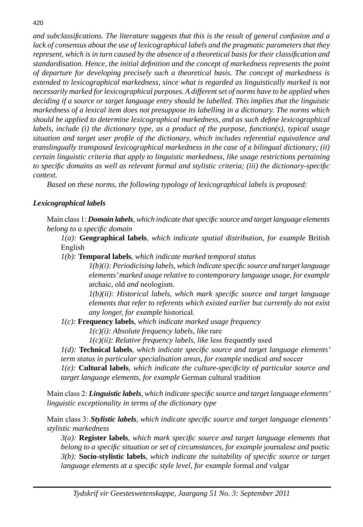*and subclassifi cations. The literature suggests that this is the result of general confusion and a lack of consensus about the use of lexicographical labels and the pragmatic parameters that they represent, which is in turn caused by the absence of a theoretical basis for their classification and standardisation. Hence, the initial defi nition and the concept of markedness represents the point of departure for developing precisely such a theoretical basis. The concept of markedness is extended to lexicographical markedness, since what is regarded as linguistically marked is not necessarily marked for lexicographical purposes. A different set of norms have to be applied when deciding if a source or target language entry should be labelled. This implies that the linguistic markedness of a lexical item does not presuppose its labelling in a dictionary. The norms which should be applied to determine lexicographical markedness, and as such defi ne lexicographical labels, include (i) the dictionary type, as a product of the purpose, function(s), typical usage situation and target user profi le of the dictionary, which includes referential equivalence and translingually transposed lexicographical markedness in the case of a bilingual dictionary; (ii) certain linguistic criteria that apply to linguistic markedness, like usage restrictions pertaining to specifi c domains as well as relevant formal and stylistic criteria; (iii) the dictionary-specifi c context.*

 *Based on these norms, the following typology of lexicographical labels is proposed:*

### *Lexicographical labels*

 Main class 1: *Domain labels, which indicate that specifi c source and target language elements belong to a specifi c domain*

 *1(a):* **Geographical labels***, which indicate spatial distribution, for example* British English

 *1(b):* **Temporal labels***, which indicate marked temporal status*

 *1(b)(i): Periodicising labels, which indicate specifi c source and target language elements' marked usage relative to contemporary language usage, for example*  archaic*,* old *and* neologism*.*

 *1(b)(ii): Historical labels, which mark specifi c source and target language elements that refer to referents which existed earlier but currently do not exist any longer, for example* historical*.*

 *1(c):* **Frequency labels***, which indicate marked usage frequency*

 *1(c)(i): Absolute frequency labels, like* rare

 *1(c)(ii): Relative frequency labels, like* less frequently used

 *1(d):* **Technical labels***, which indicate specifi c source and target language elements'* 

*term status in particular specialisation areas, for example* medical *and* soccer

 *1(e):* **Cultural labels***, which indicate the culture-specifi city of particular source and target language elements, for example* German cultural tradition

 Main class 2: *Linguistic labels, which indicate specifi c source and target language elements' linguistic exceptionality in terms of the dictionary type*

 Main class 3: *Stylistic labels, which indicate specifi c source and target language elements' stylistic markedness*

 *3(a):* **Register labels***, which mark specifi c source and target language elements that belong to a specifi c situation or set of circumstances, for example* journalese *and* poetic  *3(b):* **Socio-stylistic labels***, which indicate the suitability of specifi c source or target language elements at a specifi c style level, for example* formal *and* vulgar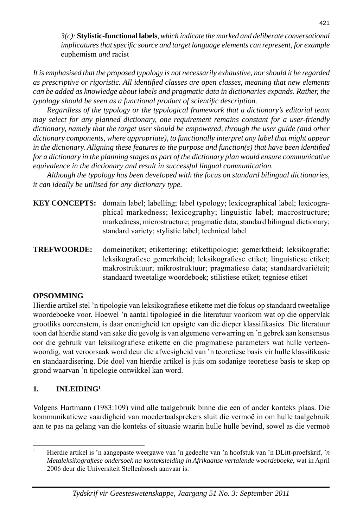*3(c):* **Stylistic-functional labels***, which indicate the marked and deliberate conversational implicatures that specifi c source and target language elements can represent, for example*  euphemism *and* racist

*It is emphasised that the proposed typology is not necessarily exhaustive, nor should it be regarded as prescriptive or rigoristic. All identifi ed classes are open classes, meaning that new elements can be added as knowledge about labels and pragmatic data in dictionaries expands. Rather, the typology should be seen as a functional product of scientific description.* 

 *Regardless of the typology or the typological framework that a dictionary's editorial team may select for any planned dictionary, one requirement remains constant for a user-friendly dictionary, namely that the target user should be empowered, through the user guide (and other dictionary components, where appropriate), to functionally interpret any label that might appear in the dictionary. Aligning these features to the purpose and function(s) that have been identified for a dictionary in the planning stages as part of the dictionary plan would ensure communicative equivalence in the dictionary and result in successful lingual communication.*

 *Although the typology has been developed with the focus on standard bilingual dictionaries, it can ideally be utilised for any dictionary type.*

**KEY CONCEPTS:** domain label; labelling; label typology; lexicographical label; lexicographical markedness; lexicography; linguistic label; macrostructure; markedness; microstructure; pragmatic data; standard bilingual dictionary; standard variety; stylistic label; technical label

**TREFWOORDE:** domeinetiket; etikettering; etikettipologie; gemerktheid; leksikografie; leksikografiese gemerktheid; leksikografiese etiket; linguistiese etiket; makrostruktuur; mikrostruktuur; pragmatiese data; standaardvariëteit; standaard tweetalige woordeboek; stilistiese etiket; tegniese etiket

### **OPSOMMING**

Hierdie artikel stel 'n tipologie van leksikografiese etikette met die fokus op standaard tweetalige woordeboeke voor. Hoewel 'n aantal tipologieë in die literatuur voorkom wat op die oppervlak grootliks ooreenstem, is daar onenigheid ten opsigte van die dieper klassifikasies. Die literatuur toon dat hierdie stand van sake die gevolg is van algemene verwarring en 'n gebrek aan konsensus oor die gebruik van leksikografiese etikette en die pragmatiese parameters wat hulle verteenwoordig, wat veroorsaak word deur die afwesigheid van 'n teoretiese basis vir hulle klassifikasie en standaardisering. Die doel van hierdie artikel is juis om sodanige teoretiese basis te skep op grond waarvan 'n tipologie ontwikkel kan word.

### **1. INLEIDING1**

Volgens Hartmann (1983:109) vind alle taalgebruik binne die een of ander konteks plaas. Die kommunikatiewe vaardigheid van moedertaalsprekers sluit die vermoë in om hulle taalgebruik aan te pas na gelang van die konteks of situasie waarin hulle hulle bevind, sowel as die vermoë

<sup>1</sup> Hierdie artikel is 'n aangepaste weergawe van 'n gedeelte van 'n hoofstuk van 'n DLitt-proefskrif, '*n Metaleksikografi ese ondersoek na konteksleiding in Afrikaanse vertalende woordeboeke*, wat in April 2006 deur die Universiteit Stellenbosch aanvaar is.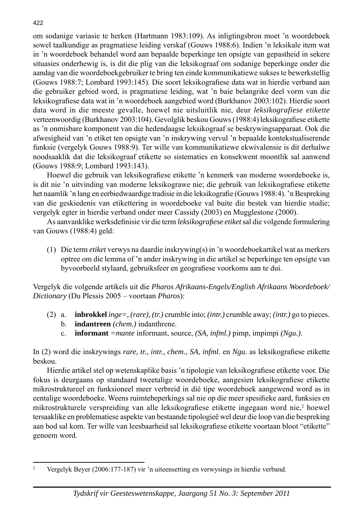om sodanige variasie te herken (Hartmann 1983:109). As inligtingsbron moet 'n woordeboek sowel taalkundige as pragmatiese leiding verskaf (Gouws 1988:6). Indien 'n leksikale item wat in 'n woordeboek behandel word aan bepaalde beperkinge ten opsigte van gepastheid in sekere situasies onderhewig is, is dit die plig van die leksikograaf om sodanige beperkinge onder die aandag van die woordeboekgebruiker te bring ten einde kommunikatiewe sukses te bewerkstellig (Gouws 1988:7; Lombard 1993:145). Die soort leksikografiese data wat in hierdie verband aan die gebruiker gebied word, is pragmatiese leiding, wat 'n baie belangrike deel vorm van die leksikografiese data wat in 'n woordeboek aangebied word (Burkhanov 2003:102). Hierdie soort data word in die meeste gevalle, hoewel nie uitsluitlik nie, deur *leksikografiese etikette* verteenwoordig (Burkhanov 2003:104). Gevolglik beskou Gouws (1988:4) leksikografiese etikette as 'n onmisbare komponent van die hedendaagse leksikograaf se beskrywingsapparaat. Ook die afwesigheid van 'n etiket ten opsigte van 'n inskrywing vervul 'n bepaalde kontekstualiserende funksie (vergelyk Gouws 1988:9). Ter wille van kommunikatiewe ekwivalensie is dit derhalwe noodsaaklik dat die leksikograaf etikette so sistematies en konsekwent moontlik sal aanwend (Gouws 1988:9; Lombard 1993:143).

Hoewel die gebruik van leksikografiese etikette 'n kenmerk van moderne woordeboeke is, is dit nie 'n uitvinding van moderne leksikograwe nie; die gebruik van leksikografiese etikette het naamlik 'n lang en eerbiedwaardige tradisie in die leksikografie (Gouws 1988:4). 'n Bespreking van die geskiedenis van etikettering in woordeboeke val buite die bestek van hierdie studie; vergelyk egter in hierdie verband onder meer Cassidy (2003) en Mugglestone (2000).

As aanvanklike werksdefinisie vir die term *leksikografiese etiket* sal die volgende formulering van Gouws (1988:4) geld:

 (1) Die term *etiket* verwys na daardie inskrywing(s) in 'n woordeboekartikel wat as merkers optree om die lemma of 'n ander inskrywing in die artikel se beperkinge ten opsigte van byvoorbeeld stylaard, gebruiksfeer en geografiese voorkoms aan te dui.

Vergelyk die volgende artikels uit die *Pharos Afrikaans-Engels/English Afrikaans Woordeboek/ Dictionary* (Du Plessis 2005 – voortaan *Pharos*):

- (2) a. **inbrokkel** *inge=, (rare), (tr.)* crumble into; *(intr.)* crumble away; *(intr.)* go to pieces.
	- b. **indantreen** *(chem.)* indanthrene.
	- c. **informant** *=mante* informant, source, *(SA, infml.)* pimp, impimpi *(Ngu.)*.

In (2) word die inskrywings *rare*, *tr.*, *intr.*, *chem.*, *SA*, *infml.* en *Ngu.* as leksikografiese etikette beskou.

Hierdie artikel stel op wetenskaplike basis 'n tipologie van leksikografiese etikette voor. Die fokus is deurgaans op standaard tweetalige woordeboeke, aangesien leksikografiese etikette mikrostruktureel en funksioneel meer verbreid in dié tipe woordeboek aangewend word as in eentalige woordeboeke. Weens ruimtebeperkings sal nie op die meer spesifieke aard, funksies en mikrostrukturele verspreiding van alle leksikografiese etikette ingegaan word nie,<sup>2</sup> hoewel tersaaklike en problematiese aspekte van bestaande tipologieë wel deur die loop van die bespreking aan bod sal kom. Ter wille van leesbaarheid sal leksikografiese etikette voortaan bloot "etikette" genoem word.

 $\overline{2}$ Vergelyk Beyer (2006:177-187) vir 'n uiteensetting en verwysings in hierdie verband.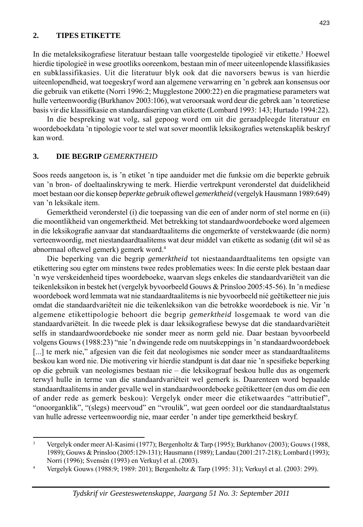#### **2. TIPES ETIKETTE**

In die metaleksikografiese literatuur bestaan talle voorgestelde tipologieë vir etikette.<sup>3</sup> Hoewel hierdie tipologieë in wese grootliks ooreenkom, bestaan min of meer uiteenlopende klassifikasies en subklassifikasies. Uit die literatuur blyk ook dat die navorsers bewus is van hierdie uiteenlopendheid, wat toegeskryf word aan algemene verwarring en 'n gebrek aan konsensus oor die gebruik van etikette (Norri 1996:2; Mugglestone 2000:22) en die pragmatiese parameters wat hulle verteenwoordig (Burkhanov 2003:106), wat veroorsaak word deur die gebrek aan 'n teoretiese basis vir die klassifikasie en standaardisering van etikette (Lombard 1993: 143; Hurtado 1994:22).

 In die bespreking wat volg, sal gepoog word om uit die geraadpleegde literatuur en woordeboekdata 'n tipologie voor te stel wat sover moontlik leksikografies wetenskaplik beskryf kan word.

### **3. DIE BEGRIP** *GEMERKTHEID*

Soos reeds aangetoon is, is 'n etiket 'n tipe aanduider met die funksie om die beperkte gebruik van 'n bron- of doeltaalinskrywing te merk. Hierdie vertrekpunt veronderstel dat duidelikheid moet bestaan oor die konsep *beperkte gebruik* oftewel *gemerktheid* (vergelyk Hausmann 1989:649) van 'n leksikale item.

 Gemerktheid veronderstel (i) die toepassing van die een of ander norm of stel norme en (ii) die moontlikheid van ongemerktheid. Met betrekking tot standaardwoordeboeke word algemeen in die leksikografie aanvaar dat standaardtaalitems die ongemerkte of verstekwaarde (die norm) verteenwoordig, met niestandaardtaalitems wat deur middel van etikette as sodanig (dit wil sê as abnormaal oftewel gemerk) gemerk word.4

 Die beperking van die begrip *gemerktheid* tot niestaandaardtaalitems ten opsigte van etikettering sou egter om minstens twee redes problematies wees: In die eerste plek bestaan daar 'n wye verskeidenheid tipes woordeboeke, waarvan slegs enkeles die standaardvariëteit van die teikenleksikon in bestek het (vergelyk byvoorbeeld Gouws & Prinsloo 2005:45-56). In 'n mediese woordeboek word lemmata wat nie standaardtaalitems is nie byvoorbeeld nié geëtiketteer nie juis omdat die standaardvariëteit nie die teikenleksikon van die betrokke woordeboek is nie. Vir 'n algemene etikettipologie behoort die begrip *gemerktheid* losgemaak te word van die standaardvariëteit. In die tweede plek is daar leksikografiese bewyse dat die standaardvariëteit selfs in standaardwoordeboeke nie sonder meer as norm geld nie. Daar bestaan byvoorbeeld volgens Gouws (1988:23) "nie 'n dwingende rede om nuutskeppings in 'n standaardwoordeboek [...] te merk nie," afgesien van die feit dat neologismes nie sonder meer as standaardtaalitems beskou kan word nie. Die motivering vir hierdie standpunt is dat daar nie 'n spesifieke beperking op die gebruik van neologismes bestaan nie – die leksikograaf beskou hulle dus as ongemerk terwyl hulle in terme van die standaardvariëteit wel gemerk is. Daarenteen word bepaalde standaardtaalitems in ander gevalle wel in standaardwoordeboeke geëtiketteer (en dus om die een of ander rede as gemerk beskou): Vergelyk onder meer die etiketwaardes "attributief", "onoorganklik", "(slegs) meervoud" en "vroulik", wat geen oordeel oor die standaardtaalstatus van hulle adresse verteenwoordig nie, maar eerder 'n ander tipe gemerktheid beskryf.

<sup>3</sup> Vergelyk onder meer Al-Kasimi (1977); Bergenholtz & Tarp (1995); Burkhanov (2003); Gouws (1988, 1989); Gouws & Prinsloo (2005:129-131); Hausmann (1989); Landau (2001:217-218); Lombard (1993); Norri (1996); Svensén (1993) en Verkuyl et al. (2003).

<sup>4</sup> Vergelyk Gouws (1988:9; 1989: 201); Bergenholtz & Tarp (1995: 31); Verkuyl et al. (2003: 299).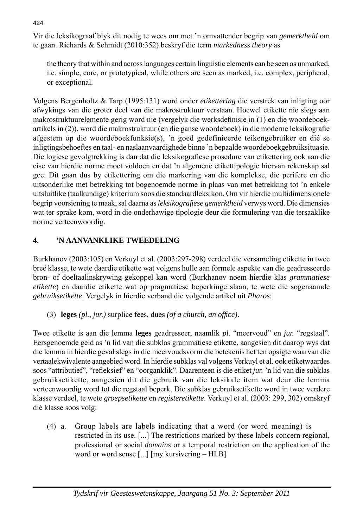Vir die leksikograaf blyk dit nodig te wees om met 'n omvattender begrip van *gemerktheid* om te gaan. Richards & Schmidt (2010:352) beskryf die term *markedness theory* as

 the theory that within and across languages certain linguistic elements can be seen as unmarked, i.e. simple, core, or prototypical, while others are seen as marked, i.e. complex, peripheral, or exceptional.

Volgens Bergenholtz & Tarp (1995:131) word onder *etikettering* die verstrek van inligting oor afwykings van die groter deel van die makrostruktuur verstaan. Hoewel etikette nie slegs aan makrostruktuurelemente gerig word nie (vergelyk die werksdefinisie in (1) en die woordeboekartikels in (2)), word die makrostruktuur (en die ganse woordeboek) in die moderne leksikografie afgestem op die woordeboekfunksie(s), 'n goed gedefinieerde teikengebruiker en dié se inligtingsbehoeftes en taal- en naslaanvaardighede binne 'n bepaalde woordeboekgebruiksituasie. Die logiese gevolgtrekking is dan dat die leksikografiese prosedure van etikettering ook aan die eise van hierdie norme moet voldoen en dat 'n algemene etikettipologie hiervan rekenskap sal gee. Dit gaan dus by etikettering om die markering van die komplekse, die perifere en die uitsonderlike met betrekking tot bogenoemde norme in plaas van met betrekking tot 'n enkele uitsluitlike (taalkundige) kriterium soos die standaardleksikon. Om vir hierdie multidimensionele begrip voorsiening te maak, sal daarna as *leksikografi ese gemerktheid* verwys word. Die dimensies wat ter sprake kom, word in die onderhawige tipologie deur die formulering van die tersaaklike norme verteenwoordig.

# **4. 'N AANVANKLIKE TWEEDELING**

Burkhanov (2003:105) en Verkuyl et al. (2003:297-298) verdeel die versameling etikette in twee breë klasse, te wete daardie etikette wat volgens hulle aan formele aspekte van die geadresseerde bron- of doeltaalinskrywing gekoppel kan word (Burkhanov noem hierdie klas *grammatiese etikette*) en daardie etikette wat op pragmatiese beperkinge slaan, te wete die sogenaamde *gebruiksetikette*. Vergelyk in hierdie verband die volgende artikel uit *Pharos*:

(3) **leges**  $(pl., jur.)$  surplice fees, dues  $(of a church, an office).$ 

Twee etikette is aan die lemma **leges** geadresseer, naamlik *pl.* "meervoud" en *jur.* "regstaal". Eersgenoemde geld as 'n lid van die subklas grammatiese etikette, aangesien dit daarop wys dat die lemma in hierdie geval slegs in die meervoudsvorm die betekenis het ten opsigte waarvan die vertaalekwivalente aangebied word. In hierdie subklas val volgens Verkuyl et al. ook etiketwaardes soos "attributief", "refleksief" en "oorganklik". Daarenteen is die etiket *jur.* 'n lid van die subklas gebruiksetikette, aangesien dit die gebruik van die leksikale item wat deur die lemma verteenwoordig word tot die regstaal beperk. Die subklas gebruiksetikette word in twee verdere klasse verdeel, te wete *groepsetikette* en *registeretikette*. Verkuyl et al. (2003: 299, 302) omskryf dié klasse soos volg:

 (4) a. Group labels are labels indicating that a word (or word meaning) is restricted in its use. [...] The restrictions marked by these labels concern regional, professional or social *domains* or a temporal restriction on the application of the word or word sense [...] [my kursivering – HLB]

424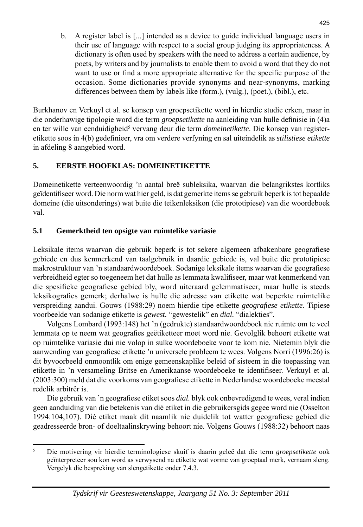b. A register label is [...] intended as a device to guide individual language users in their use of language with respect to a social group judging its appropriateness. A dictionary is often used by speakers with the need to address a certain audience, by poets, by writers and by journalists to enable them to avoid a word that they do not want to use or find a more appropriate alternative for the specific purpose of the occasion. Some dictionaries provide synonyms and near-synonyms, marking differences between them by labels like (form.), (vulg.), (poet.), (bibl.), etc.

Burkhanov en Verkuyl et al. se konsep van groepsetikette word in hierdie studie erken, maar in die onderhawige tipologie word die term *groepsetikette* na aanleiding van hulle definisie in (4)a en ter wille van eenduidigheid<sup>5</sup> vervang deur die term *domeinetikette*. Die konsep van registeretikette soos in 4(b) gedefinieer, vra om verdere verfyning en sal uiteindelik as *stilistiese etikette* in afdeling 8 aangebied word.

### **5. EERSTE HOOFKLAS: DOMEINETIKETTE**

Domeinetikette verteenwoordig 'n aantal breë subleksika, waarvan die belangrikstes kortliks geïdentifi seer word. Die norm wat hier geld, is dat gemerkte items se gebruik beperk is tot bepaalde domeine (die uitsonderings) wat buite die teikenleksikon (die prototipiese) van die woordeboek val.

# **5.1 Gemerktheid ten opsigte van ruimtelike variasie**

Leksikale items waarvan die gebruik beperk is tot sekere algemeen afbakenbare geografiese gebiede en dus kenmerkend van taalgebruik in daardie gebiede is, val buite die prototipiese makrostruktuur van 'n standaardwoordeboek. Sodanige leksikale items waarvan die geografiese verbreidheid egter so toegeneem het dat hulle as lemmata kwalifiseer, maar wat kenmerkend van die spesifieke geografiese gebied bly, word uiteraard gelemmatiseer, maar hulle is steeds leksikografies gemerk; derhalwe is hulle die adresse van etikette wat beperkte ruimtelike verspreiding aandui. Gouws (1988:29) noem hierdie tipe etikette *geografi ese etikette*. Tipiese voorbeelde van sodanige etikette is *gewest.* "gewestelik" en *dial.* "dialekties".

 Volgens Lombard (1993:148) het 'n (gedrukte) standaardwoordeboek nie ruimte om te veel lemmata op te neem wat geografies geëtiketteer moet word nie. Gevolglik behoort etikette wat op ruimtelike variasie dui nie volop in sulke woordeboeke voor te kom nie. Nietemin blyk die aanwending van geografiese etikette 'n universele probleem te wees. Volgens Norri (1996:26) is dit byvoorbeeld onmoontlik om enige gemeenskaplike beleid of sisteem in die toepassing van etikette in 'n versameling Britse en Amerikaanse woordeboeke te identifiseer. Verkuyl et al. (2003:300) meld dat die voorkoms van geografiese etikette in Nederlandse woordeboeke meestal redelik arbitrêr is.

Die gebruik van 'n geografiese etiket soos *dial*. blyk ook onbevredigend te wees, veral indien geen aanduiding van die betekenis van dié etiket in die gebruikersgids gegee word nie (Osselton 1994:104,107). Dié etiket maak dit naamlik nie duidelik tot watter geografiese gebied die geadresseerde bron- of doeltaalinskrywing behoort nie. Volgens Gouws (1988:32) behoort naas

<sup>5</sup> Die motivering vir hierdie terminologiese skuif is daarin geleë dat die term *groepsetikette* ook geïnterpreteer sou kon word as verwysend na etikette wat vorme van groeptaal merk, vernaam sleng. Vergelyk die bespreking van slengetikette onder 7.4.3.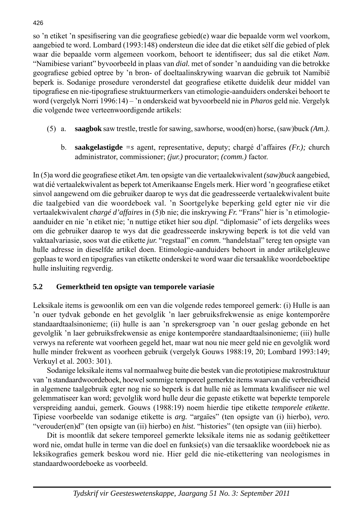so 'n etiket 'n spesifisering van die geografiese gebied(e) waar die bepaalde vorm wel voorkom, aangebied te word. Lombard (1993:148) ondersteun die idee dat die etiket sélf die gebied of plek waar die bepaalde vorm algemeen voorkom, behoort te identifiseer; dus sal die etiket *Nam.* "Namibiese variant" byvoorbeeld in plaas van *dial.* met of sonder 'n aanduiding van die betrokke geografiese gebied optree by 'n bron- of doeltaalinskrywing waarvan die gebruik tot Namibië beperk is. Sodanige prosedure veronderstel dat geografiese etikette duidelik deur middel van tipografiese en nie-tipografiese struktuurmerkers van etimologie-aanduiders onderskei behoort te word (vergelyk Norri 1996:14) – 'n onderskeid wat byvoorbeeld nie in *Pharos* geld nie. Vergelyk die volgende twee verteenwoordigende artikels:

- (5) a. **saagbok** saw trestle, trestle for sawing, sawhorse, wood(en) horse, (saw)buck *(Am.)*.
	- b. **saakgelastigde** *=s* agent, representative, deputy; chargé d'affaires *(Fr.);* church administrator, commissioner; *(jur.)* procurator; *(comm.)* factor.

In (5)a word die geografi ese etiket *Am.* ten opsigte van die vertaalekwivalent *(saw)buck* aangebied, wat dié vertaalekwivalent as beperk tot Amerikaanse Engels merk. Hier word 'n geografiese etiket sinvol aangewend om die gebruiker daarop te wys dat die geadresseerde vertaalekwivalent buite die taalgebied van die woordeboek val. 'n Soortgelyke beperking geld egter nie vir die vertaalekwivalent *chargé d'affaires* in (5)b nie; die inskrywing *Fr.* "Frans" hier is 'n etimologieaanduider en nie 'n etiket nie; 'n nuttige etiket hier sou *dipl.* "diplomasie" of iets dergeliks wees om die gebruiker daarop te wys dat die geadresseerde inskrywing beperk is tot die veld van vaktaalvariasie, soos wat die etikette *jur.* "regstaal" en *comm.* "handelstaal" tereg ten opsigte van hulle adresse in dieselfde artikel doen. Etimologie-aanduiders behoort in ander artikelgleuwe geplaas te word en tipografies van etikette onderskei te word waar die tersaaklike woordeboektipe hulle insluiting regverdig.

### **5.2 Gemerktheid ten opsigte van temporele variasie**

Leksikale items is gewoonlik om een van die volgende redes temporeel gemerk: (i) Hulle is aan 'n ouer tydvak gebonde en het gevolglik 'n laer gebruiksfrekwensie as enige kontemporêre standaardtaalsinonieme; (ii) hulle is aan 'n sprekersgroep van 'n ouer geslag gebonde en het gevolglik 'n laer gebruiksfrekwensie as enige kontemporêre standaardtaalsinonieme; (iii) hulle verwys na referente wat voorheen gegeld het, maar wat nou nie meer geld nie en gevolglik word hulle minder frekwent as voorheen gebruik (vergelyk Gouws 1988:19, 20; Lombard 1993:149; Verkuyl et al. 2003: 301).

 Sodanige leksikale items val normaalweg buite die bestek van die prototipiese makrostruktuur van 'n standaardwoordeboek, hoewel sommige temporeel gemerkte items waarvan die verbreidheid in algemene taalgebruik egter nog nie so beperk is dat hulle nié as lemmata kwalifiseer nie wel gelemmatiseer kan word; gevolglik word hulle deur die gepaste etikette wat beperkte temporele verspreiding aandui, gemerk. Gouws (1988:19) noem hierdie tipe etikette *temporele etikette*. Tipiese voorbeelde van sodanige etikette is *arg.* "argaïes" (ten opsigte van (i) hierbo), *vero.*  "verouder(en)d" (ten opsigte van (ii) hierbo) en *hist.* "histories" (ten opsigte van (iii) hierbo).

 Dit is moontlik dat sekere temporeel gemerkte leksikale items nie as sodanig geëtiketteer word nie, omdat hulle in terme van die doel en funksie(s) van die tersaaklike woordeboek nie as leksikografies gemerk beskou word nie. Hier geld die nie-etikettering van neologismes in standaardwoordeboeke as voorbeeld.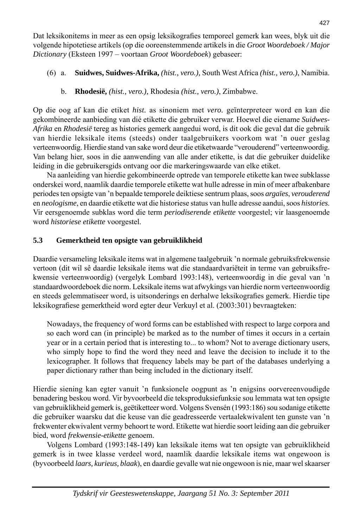Dat leksikonitems in meer as een opsig leksikografies temporeel gemerk kan wees, blyk uit die volgende hipotetiese artikels (op die ooreenstemmende artikels in die *Groot Woordeboek / Major Dictionary* (Eksteen 1997 – voortaan *Groot Woordeboek*) gebaseer:

- (6) a. **Suidwes, Suidwes-Afrika,** *(hist., vero.),* South West Africa *(hist., vero.)*, Namibia.
	- b. **Rhodesië,** *(hist., vero.),* Rhodesia *(hist., vero.)*, Zimbabwe.

Op die oog af kan die etiket *hist.* as sinoniem met *vero.* geïnterpreteer word en kan die gekombineerde aanbieding van dié etikette die gebruiker verwar. Hoewel die eiename *Suidwes-Afrika* en *Rhodesië* tereg as histories gemerk aangedui word, is dit ook die geval dat die gebruik van hierdie leksikale items (steeds) onder taalgebruikers voorkom wat 'n ouer geslag verteenwoordig. Hierdie stand van sake word deur die etiketwaarde "verouderend" verteenwoordig. Van belang hier, soos in die aanwending van alle ander etikette, is dat die gebruiker duidelike leiding in die gebruikersgids ontvang oor die markeringswaarde van elke etiket.

 Na aanleiding van hierdie gekombineerde optrede van temporele etikette kan twee subklasse onderskei word, naamlik daardie temporele etikette wat hulle adresse in min of meer afbakenbare periodes ten opsigte van 'n bepaalde temporele deiktiese sentrum plaas, soos *argaïes*, *verouderend* en *neologisme*, en daardie etikette wat die historiese status van hulle adresse aandui, soos *histories*. Vir eersgenoemde subklas word die term *periodiserende etikette* voorgestel; vir laasgenoemde word *historiese etikette* voorgestel.

### **5.3 Gemerktheid ten opsigte van gebruiklikheid**

Daardie versameling leksikale items wat in algemene taalgebruik 'n normale gebruiksfrekwensie vertoon (dit wil sê daardie leksikale items wat die standaardvariëteit in terme van gebruiksfrekwensie verteenwoordig) (vergelyk Lombard 1993:148), verteenwoordig in die geval van 'n standaardwoordeboek die norm. Leksikale items wat afwykings van hierdie norm verteenwoordig en steeds gelemmatiseer word, is uitsonderings en derhalwe leksikografies gemerk. Hierdie tipe leksikografiese gemerktheid word egter deur Verkuyl et al. (2003:301) bevraagteken:

 Nowadays, the frequency of word forms can be established with respect to large corpora and so each word can (in principle) be marked as to the number of times it occurs in a certain year or in a certain period that is interesting to... to whom? Not to average dictionary users, who simply hope to find the word they need and leave the decision to include it to the lexicographer. It follows that frequency labels may be part of the databases underlying a paper dictionary rather than being included in the dictionary itself.

Hierdie siening kan egter vanuit 'n funksionele oogpunt as 'n enigsins oorvereenvoudigde benadering beskou word. Vir byvoorbeeld die teksproduksiefunksie sou lemmata wat ten opsigte van gebruiklikheid gemerk is, geëtiketteer word. Volgens Svensén (1993:186) sou sodanige etikette die gebruiker waarsku dat die keuse van die geadresseerde vertaalekwivalent ten gunste van 'n frekwenter ekwivalent vermy behoort te word. Etikette wat hierdie soort leiding aan die gebruiker bied, word *frekwensie-etikette* genoem.

 Volgens Lombard (1993:148-149) kan leksikale items wat ten opsigte van gebruiklikheid gemerk is in twee klasse verdeel word, naamlik daardie leksikale items wat ongewoon is (byvoorbeeld *laars, kurieus, blaak*), en daardie gevalle wat nie ongewoon is nie, maar wel skaarser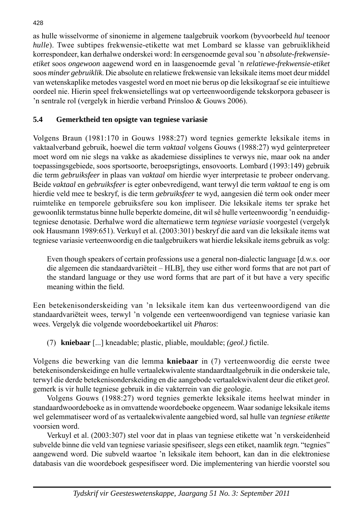as hulle wisselvorme of sinonieme in algemene taalgebruik voorkom (byvoorbeeld *hul* teenoor *hulle*). Twee subtipes frekwensie-etikette wat met Lombard se klasse van gebruiklikheid korrespondeer, kan derhalwe onderskei word: In eersgenoemde geval sou 'n *absolute-frekwensieetiket* soos *ongewoon* aagewend word en in laasgenoemde geval 'n *relatiewe-frekwensie-etiket* soos *minder gebruiklik*. Die absolute en relatiewe frekwensie van leksikale items moet deur middel van wetenskaplike metodes vasgestel word en moet nie berus op die leksikograaf se eie intuïtiewe oordeel nie. Hierin speel frekwensietellings wat op verteenwoordigende tekskorpora gebaseer is 'n sentrale rol (vergelyk in hierdie verband Prinsloo & Gouws 2006).

# **5.4 Gemerktheid ten opsigte van tegniese variasie**

Volgens Braun (1981:170 in Gouws 1988:27) word tegnies gemerkte leksikale items in vaktaalverband gebruik, hoewel die term *vaktaal* volgens Gouws (1988:27) wyd geïnterpreteer moet word om nie slegs na vakke as akademiese dissiplines te verwys nie, maar ook na ander toepassingsgebiede, soos sportsoorte, beroepsrigtings, ensovoorts. Lombard (1993:149) gebruik die term *gebruiksfeer* in plaas van *vaktaal* om hierdie wyer interpretasie te probeer ondervang. Beide *vaktaal* en *gebruiksfeer* is egter onbevredigend, want terwyl die term *vaktaal* te eng is om hierdie veld mee te beskryf, is die term *gebruiksfeer* te wyd, aangesien dié term ook onder meer ruimtelike en temporele gebruiksfere sou kon impliseer. Die leksikale items ter sprake het gewoonlik termstatus binne hulle beperkte domeine, dit wil sê hulle verteenwoordig 'n eenduidigtegniese denotasie. Derhalwe word die alternatiewe term *tegniese variasie* voorgestel (vergelyk ook Hausmann 1989:651). Verkuyl et al. (2003:301) beskryf die aard van die leksikale items wat tegniese variasie verteenwoordig en die taalgebruikers wat hierdie leksikale items gebruik as volg:

 Even though speakers of certain professions use a general non-dialectic language [d.w.s. oor die algemeen die standaardvariëteit – HLB], they use either word forms that are not part of the standard language or they use word forms that are part of it but have a very specific meaning within the field.

Een betekenisonderskeiding van 'n leksikale item kan dus verteenwoordigend van die standaardvariëteit wees, terwyl 'n volgende een verteenwoordigend van tegniese variasie kan wees. Vergelyk die volgende woordeboekartikel uit *Pharos*:

(7) **kniebaar** [...] kneadable; plastic, pliable, mouldable; *(geol.)* fictile.

Volgens die bewerking van die lemma **kniebaar** in (7) verteenwoordig die eerste twee betekenisonderskeidinge en hulle vertaalekwivalente standaardtaalgebruik in die onderskeie tale, terwyl die derde betekenisonderskeiding en die aangebode vertaalekwivalent deur die etiket *geol.* gemerk is vir hulle tegniese gebruik in die vakterrein van die geologie.

 Volgens Gouws (1988:27) word tegnies gemerkte leksikale items heelwat minder in standaardwoordeboeke as in omvattende woordeboeke opgeneem. Waar sodanige leksikale items wel gelemmatiseer word of as vertaalekwivalente aangebied word, sal hulle van *tegniese etikette* voorsien word.

 Verkuyl et al. (2003:307) stel voor dat in plaas van tegniese etikette wat 'n verskeidenheid subvelde binne die veld van tegniese variasie spesifi seer, slegs een etiket, naamlik *tegn.* "tegnies" aangewend word. Die subveld waartoe 'n leksikale item behoort, kan dan in die elektroniese databasis van die woordeboek gespesifiseer word. Die implementering van hierdie voorstel sou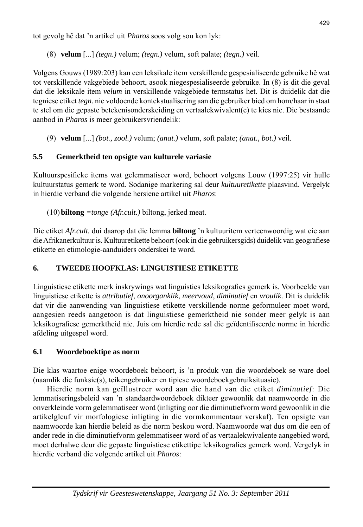tot gevolg hê dat 'n artikel uit *Pharos* soos volg sou kon lyk:

(8) **velum** [...] *(tegn.)* velum; *(tegn.)* velum, soft palate; *(tegn.)* veil.

Volgens Gouws (1989:203) kan een leksikale item verskillende gespesialiseerde gebruike hê wat tot verskillende vakgebiede behoort, asook niegespesialiseerde gebruike. In (8) is dit die geval dat die leksikale item *velum* in verskillende vakgebiede termstatus het. Dit is duidelik dat die tegniese etiket *tegn.* nie voldoende kontekstualisering aan die gebruiker bied om hom/haar in staat te stel om die gepaste betekenisonderskeiding en vertaalekwivalent(e) te kies nie. Die bestaande aanbod in *Pharos* is meer gebruikersvriendelik:

(9) **velum** [...] *(bot., zool.)* velum; *(anat.)* velum, soft palate; *(anat., bot.)* veil.

# **5.5 Gemerktheid ten opsigte van kulturele variasie**

Kultuurspesifieke items wat gelemmatiseer word, behoort volgens Louw (1997:25) vir hulle kultuurstatus gemerk te word. Sodanige markering sal deur *kultuuretikette* plaasvind. Vergelyk in hierdie verband die volgende hersiene artikel uit *Pharos*:

(10) **biltong** *=tonge (Afr.cult.)* biltong, jerked meat.

Die etiket *Afr.cult.* dui daarop dat die lemma **biltong** 'n kultuuritem verteenwoordig wat eie aan die Afrikanerkultuur is. Kultuuretikette behoort (ook in die gebruikersgids) duidelik van geografiese etikette en etimologie-aanduiders onderskei te word.

# **6. TWEEDE HOOFKLAS: LINGUISTIESE ETIKETTE**

Linguistiese etikette merk inskrywings wat linguisties leksikografies gemerk is. Voorbeelde van linguistiese etikette is *attributief*, *onoorganklik*, *meervoud*, *diminutief* en *vroulik*. Dit is duidelik dat vir die aanwending van linguistiese etikette verskillende norme geformuleer moet word, aangesien reeds aangetoon is dat linguistiese gemerktheid nie sonder meer gelyk is aan leksikografiese gemerktheid nie. Juis om hierdie rede sal die geïdentifiseerde norme in hierdie afdeling uitgespel word.

# **6.1 Woordeboektipe as norm**

Die klas waartoe enige woordeboek behoort, is 'n produk van die woordeboek se ware doel (naamlik die funksie(s), teikengebruiker en tipiese woordeboekgebruiksituasie).

 Hierdie norm kan geïllustreer word aan die hand van die etiket *diminutief*: Die lemmatiseringsbeleid van 'n standaardwoordeboek dikteer gewoonlik dat naamwoorde in die onverkleinde vorm gelemmatiseer word (inligting oor die diminutiefvorm word gewoonlik in die artikelgleuf vir morfologiese inligting in die vormkommentaar verskaf). Ten opsigte van naamwoorde kan hierdie beleid as die norm beskou word. Naamwoorde wat dus om die een of ander rede in die diminutiefvorm gelemmatiseer word of as vertaalekwivalente aangebied word, moet derhalwe deur die gepaste linguistiese etikettipe leksikografies gemerk word. Vergelyk in hierdie verband die volgende artikel uit *Pharos*: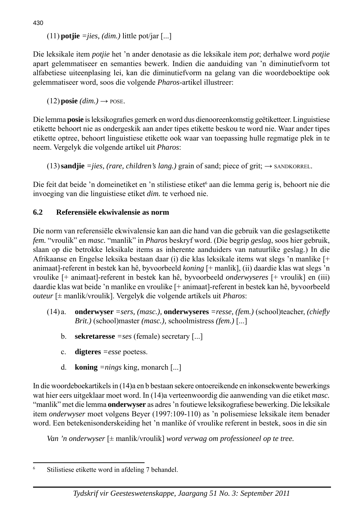(11) **potjie**  $=$ *jies, (dim.)* little pot/jar [...]

Die leksikale item *potjie* het 'n ander denotasie as die leksikale item *pot*; derhalwe word *potjie* apart gelemmatiseer en semanties bewerk. Indien die aanduiding van 'n diminutiefvorm tot alfabetiese uiteenplasing lei, kan die diminutiefvorm na gelang van die woordeboektipe ook gelemmatiseer word, soos die volgende *Pharos*-artikel illustreer:

 $(12)$  **posie**  $(dim.) \rightarrow$  **POSE.** 

Die lemma **posie** is leksikografies gemerk en word dus dienooreenkomstig geëtiketteer. Linguistiese etikette behoort nie as ondergeskik aan ander tipes etikette beskou te word nie. Waar ander tipes etikette optree, behoort linguistiese etikette ook waar van toepassing hulle regmatige plek in te neem. Vergelyk die volgende artikel uit *Pharos*:

(13) **sandjie**  $=$ *jies, (rare, children's lang.)* grain of sand; piece of grit;  $\rightarrow$  SANDKORREL.

Die feit dat beide 'n domeinetiket en 'n stilistiese etiket<sup>6</sup> aan die lemma gerig is, behoort nie die invoeging van die linguistiese etiket *dim.* te verhoed nie.

# **6.2 Referensiële ekwivalensie as norm**

Die norm van referensiële ekwivalensie kan aan die hand van die gebruik van die geslagsetikette *fem.* "vroulik" en *masc.* "manlik" in *Pharos* beskryf word. (Die begrip *geslag*, soos hier gebruik, slaan op die betrokke leksikale items as inherente aanduiders van natuurlike geslag.) In die Afrikaanse en Engelse leksika bestaan daar (i) die klas leksikale items wat slegs 'n manlike [+ animaat]-referent in bestek kan hê, byvoorbeeld *koning* [+ manlik], (ii) daardie klas wat slegs 'n vroulike [+ animaat]-referent in bestek kan hê, byvoorbeeld *onderwyseres* [+ vroulik] en (iii) daardie klas wat beide 'n manlike en vroulike [+ animaat]-referent in bestek kan hê, byvoorbeeld *outeur* [± manlik/vroulik]. Vergelyk die volgende artikels uit *Pharos*:

- (14) a. **onderwyser** *=sers, (masc.),* **onderwyseres** *=resse, (fem.)* (school)teacher, *(chiefl y Brit.)* (school)master *(masc.),* schoolmistress *(fem.)* [...]
	- b. **sekretaresse** *=ses* (female) secretary [...]
	- c. **digteres** *=esse* poetess.
	- d. **koning** *=nings* king, monarch [...]

In die woordeboekartikels in (14)a en b bestaan sekere ontoereikende en inkonsekwente bewerkings wat hier eers uitgeklaar moet word. In (14)a verteenwoordig die aanwending van die etiket *masc.* "manlik" met die lemma **onderwyser** as adres 'n foutiewe leksikografiese bewerking. Die leksikale item *onderwyser* moet volgens Beyer (1997:109-110) as 'n polisemiese leksikale item benader word. Een betekenisonderskeiding het 'n manlike óf vroulike referent in bestek, soos in die sin

 *Van 'n onderwyser* [± manlik/vroulik] *word verwag om professioneel op te tree.*

430

<sup>6</sup> Stilistiese etikette word in afdeling 7 behandel.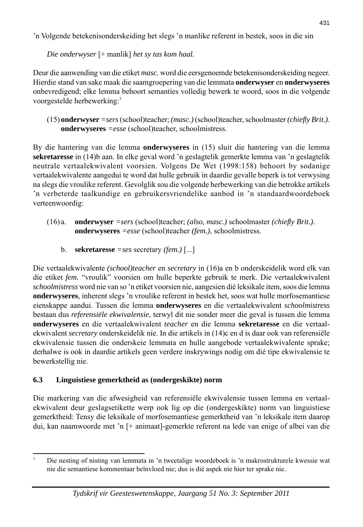'n Volgende betekenisonderskeiding het slegs 'n manlike referent in bestek, soos in die sin

*Die onderwyser* [+ manlik] *het sy tas kom haal.*

Deur die aanwending van die etiket *masc.* word die eersgenoemde betekenisonderskeiding negeer. Hierdie stand van sake maak die saamgroepering van die lemmata **onderwyser** en **onderwyseres** onbevredigend; elke lemma behoort semanties volledig bewerk te woord, soos in die volgende voorgestelde herbewerking:7

 (15) **onderwyser** *=sers* (school)teacher; *(masc.)* (school)teacher, schoolmaster *(chiefl y Brit.)*. **onderwyseres** *=esse* (school)teacher, schoolmistress.

By die hantering van die lemma **onderwyseres** in (15) sluit die hantering van die lemma **sekretaresse** in (14)b aan. In elke geval word 'n geslagtelik gemerkte lemma van 'n geslagtelik neutrale vertaalekwivalent voorsien. Volgens De Wet (1998:158) behoort by sodanige vertaalekwivalente aangedui te word dat hulle gebruik in daardie gevalle beperk is tot verwysing na slegs die vroulike referent. Gevolglik sou die volgende herbewerking van die betrokke artikels 'n verbeterde taalkundige en gebruikersvriendelike aanbod in 'n standaardwoordeboek verteenwoordig:

- (16) a. **onderwyser** *=sers* (school)teacher; *(also, masc.)* schoolmaster *(chiefl y Brit.)*. **onderwyseres** *=esse* (school)teacher *(fem.)*, schoolmistress.
	- b. **sekretaresse** *=ses* secretary *(fem.)* [...]

Die vertaalekwivalente *(school)teacher* en *secretary* in (16)a en b onderskeidelik word elk van die etiket *fem.* "vroulik" voorsien om hulle beperkte gebruik te merk. Die vertaalekwivalent *schoolmistress* word nie van so 'n etiket voorsien nie, aangesien dié leksikale item, soos die lemma **onderwyseres**, inherent slegs 'n vroulike referent in bestek het, soos wat hulle morfosemantiese eienskappe aandui. Tussen die lemma **onderwyseres** en die vertaalekwivalent *schoolmistress* bestaan dus *referensiële ekwivalensie*, terwyl dit nie sonder meer die geval is tussen die lemma **onderwyseres** en die vertaalekwivalent *teacher* en die lemma **sekretaresse** en die vertaalekwivalent *secretary* onderskeidelik nie. In die artikels in (14)c en d is daar ook van referensiële ekwivalensie tussen die onderskeie lemmata en hulle aangebode vertaalekwivalente sprake; derhalwe is ook in daardie artikels geen verdere inskrywings nodig om dié tipe ekwivalensie te bewerkstellig nie.

# **6.3 Linguistiese gemerktheid as (ondergeskikte) norm**

Die markering van die afwesigheid van referensiële ekwivalensie tussen lemma en vertaalekwivalent deur geslagsetikette werp ook lig op die (ondergeskikte) norm van linguistiese gemerktheid: Tensy die leksikale of morfosemantiese gemerktheid van 'n leksikale item daarop dui, kan naamwoorde met 'n [+ animaat]-gemerkte referent na lede van enige of albei van die

<sup>7</sup> Die nesting of nisting van lemmata in 'n tweetalige woordeboek is 'n makrostrukturele kwessie wat nie die semantiese kommentaar beïnvloed nie; dus is dié aspek nie hier ter sprake nie.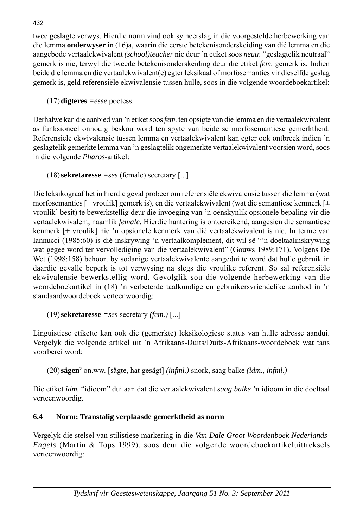twee geslagte verwys. Hierdie norm vind ook sy neerslag in die voorgestelde herbewerking van die lemma **onderwyser** in (16)a, waarin die eerste betekenisonderskeiding van dié lemma en die aangebode vertaalekwivalent *(school)teacher* nie deur 'n etiket soos *neutr.* "geslagtelik neutraal" gemerk is nie, terwyl die tweede betekenisonderskeiding deur die etiket *fem.* gemerk is. Indien beide die lemma en die vertaalekwivalent(e) egter leksikaal of morfosemanties vir dieselfde geslag gemerk is, geld referensiële ekwivalensie tussen hulle, soos in die volgende woordeboekartikel:

(17) **digteres** *=esse* poetess.

Derhalwe kan die aanbied van 'n etiket soos *fem.* ten opsigte van die lemma en die vertaalekwivalent as funksioneel onnodig beskou word ten spyte van beide se morfosemantiese gemerktheid. Referensiële ekwivalensie tussen lemma en vertaalekwivalent kan egter ook ontbreek indien 'n geslagtelik gemerkte lemma van 'n geslagtelik ongemerkte vertaalekwivalent voorsien word, soos in die volgende *Pharos*-artikel:

```
 (18) sekretaresse =ses (female) secretary [...]
```
Die leksikograaf het in hierdie geval probeer om referensiële ekwivalensie tussen die lemma (wat morfosemanties [+ vroulik] gemerk is), en die vertaalekwivalent (wat die semantiese kenmerk [± vroulik] besit) te bewerkstellig deur die invoeging van 'n oënskynlik opsionele bepaling vir die vertaalekwivalent, naamlik *female*. Hierdie hantering is ontoereikend, aangesien die semantiese kenmerk [+ vroulik] nie 'n opsionele kenmerk van dié vertaalekwivalent is nie. In terme van Iannucci (1985:60) is dié inskrywing 'n vertaalkomplement, dit wil sê "'n doeltaalinskrywing wat gegee word ter vervollediging van die vertaalekwivalent" (Gouws 1989:171). Volgens De Wet (1998:158) behoort by sodanige vertaalekwivalente aangedui te word dat hulle gebruik in daardie gevalle beperk is tot verwysing na slegs die vroulike referent. So sal referensiële ekwivalensie bewerkstellig word. Gevolglik sou die volgende herbewerking van die woordeboekartikel in (18) 'n verbeterde taalkundige en gebruikersvriendelike aanbod in 'n standaardwoordeboek verteenwoordig:

(19) **sekretaresse** *=ses* secretary *(fem.)* [...]

Linguistiese etikette kan ook die (gemerkte) leksikologiese status van hulle adresse aandui. Vergelyk die volgende artikel uit 'n Afrikaans-Duits/Duits-Afrikaans-woordeboek wat tans voorberei word:

(20) **sägen**<sup>2</sup> on.ww. [sägte, hat gesägt] *(infml.)* snork, saag balke *(idm., infml.)* 

Die etiket *idm.* "idioom" dui aan dat die vertaalekwivalent *saag balke* 'n idioom in die doeltaal verteenwoordig.

# **6.4 Norm: Transtalig verplaasde gemerktheid as norm**

Vergelyk die stelsel van stilistiese markering in die *Van Dale Groot Woordenboek Nederlands-Engels* (Martin & Tops 1999), soos deur die volgende woordeboekartikeluittreksels verteenwoordig: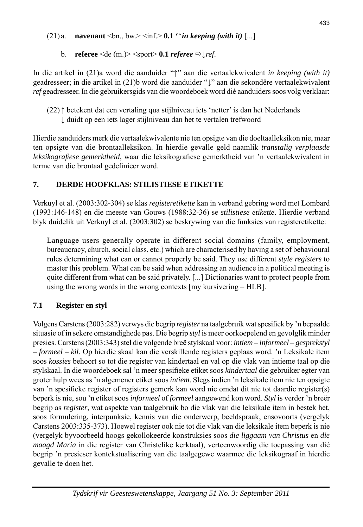# (21) a. **navenant** <br/>  $\langle$ bn., bw.>  $\langle$ inf.> **0.1 '** $\uparrow$ *in keeping (with it)* [...]

b. **referee**  $\leq$ de (m.) $>$   $\leq$ sport $>$  **0.1** *referee*  $\Rightarrow$   $\leq$  *ref.* 

In die artikel in (21)a word die aanduider "↑" aan die vertaalekwivalent *in keeping (with it)* geadresseer; in die artikel in (21)b word die aanduider "↓" aan die sekondêre vertaalekwivalent *ref* geadresseer. In die gebruikersgids van die woordeboek word dié aanduiders soos volg verklaar:

Hierdie aanduiders merk die vertaalekwivalente nie ten opsigte van die doeltaalleksikon nie, maar ten opsigte van die brontaalleksikon. In hierdie gevalle geld naamlik *transtalig verplaasde leksikografiese gemerktheid*, waar die leksikografiese gemerktheid van 'n vertaalekwivalent in terme van die brontaal gedefinieer word.

# **7. DERDE HOOFKLAS: STILISTIESE ETIKETTE**

Verkuyl et al. (2003:302-304) se klas *registeretikette* kan in verband gebring word met Lombard (1993:146-148) en die meeste van Gouws (1988:32-36) se *stilistiese etikette*. Hierdie verband blyk duidelik uit Verkuyl et al. (2003:302) se beskrywing van die funksies van registeretikette:

 Language users generally operate in different social domains (family, employment, bureaucracy, church, social class, etc.) which are characterised by having a set of behavioural rules determining what can or cannot properly be said. They use different *style registers* to master this problem. What can be said when addressing an audience in a political meeting is quite different from what can be said privately. [...] Dictionaries want to protect people from using the wrong words in the wrong contexts [my kursivering – HLB].

# **7.1 Register en styl**

Volgens Carstens (2003:282) verwys die begrip *register* na taalgebruik wat spesifiek by 'n bepaalde situasie of in sekere omstandighede pas. Die begrip *styl* is meer oorkoepelend en gevolglik minder presies. Carstens (2003:343) stel die volgende breë stylskaal voor: *intiem – informeel – gesprekstyl – formeel – kil*. Op hierdie skaal kan die verskillende registers geplaas word. 'n Leksikale item soos *kossies* behoort so tot die register van kindertaal en val op die vlak van intieme taal op die stylskaal. In die woordeboek sal 'n meer spesifieke etiket soos *kindertaal* die gebruiker egter van groter hulp wees as 'n algemener etiket soos *intiem*. Slegs indien 'n leksikale item nie ten opsigte van 'n spesifieke register of registers gemerk kan word nie omdat dit nie tot daardie register(s) beperk is nie, sou 'n etiket soos *informeel* of *formeel* aangewend kon word. *Styl* is verder 'n breër begrip as *register*, wat aspekte van taalgebruik bo die vlak van die leksikale item in bestek het, soos formulering, interpunksie, kennis van die onderwerp, beeldspraak, ensovoorts (vergelyk Carstens 2003:335-373). Hoewel register ook nie tot die vlak van die leksikale item beperk is nie (vergelyk byvoorbeeld hoogs gekollokeerde konstruksies soos *die liggaam van Christus* en *die maagd Maria* in die register van Christelike kerktaal), verteenwoordig die toepassing van dié begrip 'n presieser kontekstualisering van die taalgegewe waarmee die leksikograaf in hierdie gevalle te doen het.

 <sup>(22)</sup> ↑ betekent dat een vertaling qua stijlniveau iets 'netter' is dan het Nederlands ↓ duidt op een iets lager stijlniveau dan het te vertalen trefwoord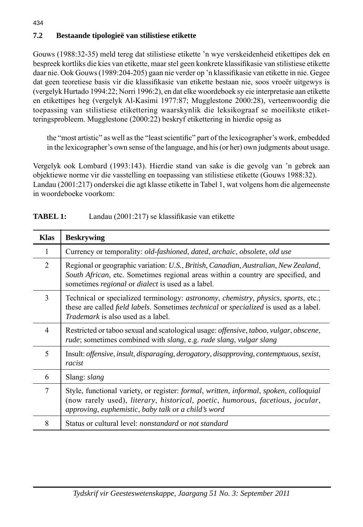# **7.2 Bestaande tipologieë van stilistiese etikette**

434

Gouws (1988:32-35) meld tereg dat stilistiese etikette 'n wye verskeidenheid etikettipes dek en bespreek kortliks die kies van etikette, maar stel geen konkrete klassifi kasie van stilistiese etikette daar nie. Ook Gouws (1989:204-205) gaan nie verder op 'n klassifi kasie van etikette in nie. Gegee dat geen teoretiese basis vir die klassifikasie van etikette bestaan nie, soos vroeër uitgewys is (vergelyk Hurtado 1994:22; Norri 1996:2), en dat elke woordeboek sy eie interpretasie aan etikette en etikettipes heg (vergelyk Al-Kasimi 1977:87; Mugglestone 2000:28), verteenwoordig die toepassing van stilistiese etikettering waarskynlik die leksikograaf se moeilikste etiketteringsprobleem. Mugglestone (2000:22) beskryf etikettering in hierdie opsig as

the "most artistic" as well as the "least scientific" part of the lexicographer's work, embedded in the lexicographer's own sense of the language, and his (or her) own judgments about usage.

Vergelyk ook Lombard (1993:143). Hierdie stand van sake is die gevolg van 'n gebrek aan objektiewe norme vir die vasstelling en toepassing van stilistiese etikette (Gouws 1988:32). Landau (2001:217) onderskei die agt klasse etikette in Tabel 1, wat volgens hom die algemeenste in woordeboeke voorkom:

| <b>Klas</b> | <b>Beskrywing</b>                                                                                                                                                                                                                                                              |
|-------------|--------------------------------------------------------------------------------------------------------------------------------------------------------------------------------------------------------------------------------------------------------------------------------|
| 1           | Currency or temporality: old-fashioned, dated, archaic, obsolete, old use                                                                                                                                                                                                      |
| 2           | Regional or geographic variation: U.S., British, Canadian, Australian, New Zealand,<br>South African, etc. Sometimes regional areas within a country are specified, and<br>sometimes <i>regional</i> or <i>dialect</i> is used as a label.                                     |
| 3           | Technical or specialized terminology: astronomy, chemistry, physics, sports, etc.;<br>these are called <i>field labels</i> . Sometimes <i>technical</i> or <i>specialized</i> is used as a label.<br><i>Trademark</i> is also used as a label.                                 |
| 4           | Restricted or taboo sexual and scatological usage: offensive, taboo, vulgar, obscene,<br>rude; sometimes combined with slang, e.g. rude slang, vulgar slang                                                                                                                    |
| 5           | Insult: <i>offensive</i> , <i>insult</i> , <i>disparaging</i> , <i>derogatory</i> , <i>disapproving</i> , <i>contemptuous</i> , <i>sexist</i> ,<br>racist                                                                                                                      |
| 6           | Slang: <i>slang</i>                                                                                                                                                                                                                                                            |
| 7           | Style, functional variety, or register: formal, written, informal, spoken, colloquial<br>(now rarely used), <i>literary</i> , <i>historical</i> , <i>poetic</i> , <i>humorous</i> , <i>facetious</i> , <i>jocular</i> ,<br>approving, euphemistic, baby talk or a child's word |
| 8           | Status or cultural level: <i>nonstandard</i> or <i>not standard</i>                                                                                                                                                                                                            |

### **TABEL 1:** Landau (2001:217) se klassifikasie van etikette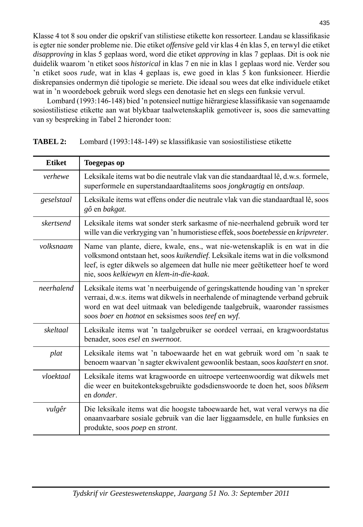Klasse 4 tot 8 sou onder die opskrif van stilistiese etikette kon ressorteer. Landau se klassifikasie is egter nie sonder probleme nie. Die etiket *offensive* geld vir klas 4 én klas 5, en terwyl die etiket *disapproving* in klas 5 geplaas word, word die etiket *approving* in klas 7 geplaas. Dit is ook nie duidelik waarom 'n etiket soos *historical* in klas 7 en nie in klas 1 geplaas word nie. Verder sou 'n etiket soos *rude*, wat in klas 4 geplaas is, ewe goed in klas 5 kon funksioneer. Hierdie diskrepansies ondermyn dié tipologie se meriete. Die ideaal sou wees dat elke individuele etiket wat in 'n woordeboek gebruik word slegs een denotasie het en slegs een funksie vervul.

 Lombard (1993:146-148) bied 'n potensieel nuttige hiërargiese klassifi kasie van sogenaamde sosiostilistiese etikette aan wat blykbaar taalwetenskaplik gemotiveer is, soos die samevatting van sy bespreking in Tabel 2 hieronder toon:

| <b>Etiket</b> | <b>Toegepas op</b>                                                                                                                                                                                                                                                                                 |
|---------------|----------------------------------------------------------------------------------------------------------------------------------------------------------------------------------------------------------------------------------------------------------------------------------------------------|
| verhewe       | Leksikale items wat bo die neutrale vlak van die standaardtaal lê, d.w.s. formele,<br>superformele en superstandaardtaalitems soos jongkragtig en ontslaap.                                                                                                                                        |
| geselstaal    | Leksikale items wat effens onder die neutrale vlak van die standaardtaal lê, soos<br>gô en bakgat.                                                                                                                                                                                                 |
| skertsend     | Leksikale items wat sonder sterk sarkasme of nie-neerhalend gebruik word ter<br>wille van die verkryging van 'n humoristiese effek, soos boetebessie en kripvreter.                                                                                                                                |
| volksnaam     | Name van plante, diere, kwale, ens., wat nie-wetenskaplik is en wat in die<br>volksmond ontstaan het, soos kuikendief. Leksikale items wat in die volksmond<br>leef, is egter dikwels so algemeen dat hulle nie meer geëtiketteer hoef te word<br>nie, soos kelkiewyn en klem-in-die-kaak.         |
| neerhalend    | Leksikale items wat 'n neerbuigende of geringskattende houding van 'n spreker<br>verraai, d.w.s. items wat dikwels in neerhalende of minagtende verband gebruik<br>word en wat deel uitmaak van beledigende taalgebruik, waaronder rassismes<br>soos boer en hotnot en seksismes soos teef en wyf. |
| skeltaal      | Leksikale items wat 'n taalgebruiker se oordeel verraai, en kragwoordstatus<br>benader, soos esel en swernoot.                                                                                                                                                                                     |
| plat          | Leksikale items wat 'n taboewaarde het en wat gebruik word om 'n saak te<br>benoem waarvan 'n sagter ekwivalent gewoonlik bestaan, soos kaalstert en snot.                                                                                                                                         |
| vloektaal     | Leksikale items wat kragwoorde en uitroepe verteenwoordig wat dikwels met<br>die weer en buitekonteksgebruikte godsdienswoorde te doen het, soos bliksem<br>en donder.                                                                                                                             |
| vulgêr        | Die leksikale items wat die hoogste taboewaarde het, wat veral verwys na die<br>onaanvaarbare sosiale gebruik van die laer liggaamsdele, en hulle funksies en<br>produkte, soos poep en stront.                                                                                                    |

**TABEL 2:** Lombard (1993:148-149) se klassifikasie van sosiostilistiese etikette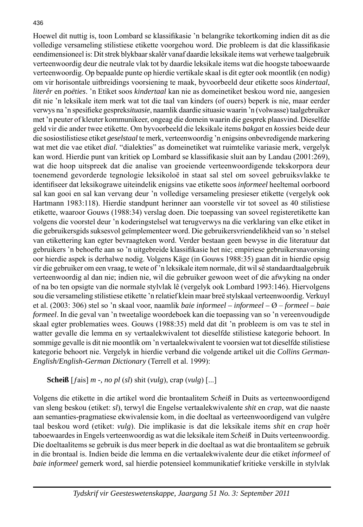### 436

Hoewel dit nuttig is, toon Lombard se klassifikasie 'n belangrike tekortkoming indien dit as die volledige versameling stilistiese etikette voorgehou word. Die probleem is dat die klassifikasie eendimensioneel is: Dit strek blykbaar skalêr vanaf daardie leksikale items wat verhewe taalgebruik verteenwoordig deur die neutrale vlak tot by daardie leksikale items wat die hoogste taboewaarde verteenwoordig. Op bepaalde punte op hierdie vertikale skaal is dit egter ook moontlik (en nodig) om vir horisontale uitbreidings voorsiening te maak, byvoorbeeld deur etikette soos *kindertaal*, *literêr* en *poëties*. 'n Etiket soos *kindertaal* kan nie as domeinetiket beskou word nie, aangesien dit nie 'n leksikale item merk wat tot die taal van kinders (of ouers) beperk is nie, maar eerder verwys na 'n spesifi eke gesprek*situasie*, naamlik daardie situasie waarin 'n (volwasse) taalgebruiker met 'n peuter of kleuter kommunikeer, ongeag die domein waarin die gesprek plaasvind. Dieselfde geld vir die ander twee etikette. Om byvoorbeeld die leksikale items *bakgat* en *kossies* beide deur die sosiostilistiese etiket *geselstaal* te merk, verteenwoordig 'n enigsins onbevredigende markering wat met die vae etiket *dial.* "dialekties" as domeinetiket wat ruimtelike variasie merk, vergelyk kan word. Hierdie punt van kritiek op Lombard se klassifikasie sluit aan by Landau (2001:269), wat die hoop uitspreek dat die analise van groeiende verteenwoordigende tekskorpora deur toenemend gevorderde tegnologie leksikoloë in staat sal stel om soveel gebruiksvlakke te identifi seer dat leksikograwe uiteindelik enigsins vae etikette soos *informeel* heeltemal oorboord sal kan gooi en sal kan vervang deur 'n volledige versameling presieser etikette (vergelyk ook Hartmann 1983:118). Hierdie standpunt herinner aan voorstelle vir tot soveel as 40 stilistiese etikette, waaroor Gouws (1988:34) verslag doen. Die toepassing van soveel registeretikette kan volgens die voorstel deur 'n koderingstelsel wat terugverwys na die verklaring van elke etiket in die gebruikersgids suksesvol geïmplementeer word. Die gebruikersvriendelikheid van so 'n stelsel van etikettering kan egter bevraagteken word. Verder bestaan geen bewyse in die literatuur dat gebruikers 'n behoefte aan so 'n uitgebreide klassifi kasie het nie; empiriese gebruikersnavorsing oor hierdie aspek is derhalwe nodig. Volgens Käge (in Gouws 1988:35) gaan dit in hierdie opsig vir die gebruiker om een vraag, te wete of 'n leksikale item normale, dit wil sê standaardtaalgebruik verteenwoordig al dan nie; indien nie, wil die gebruiker gewoon weet of die afwyking na onder of na bo ten opsigte van die normale stylvlak lê (vergelyk ook Lombard 1993:146). Hiervolgens sou die versameling stilistiese etikette 'n relatief klein maar breë stylskaal verteenwoordig. Verkuyl et al. (2003: 306) stel so 'n skaal voor, naamlik *baie informeel – informeel –* Ø – *formeel – baie formeel*. In die geval van 'n tweetalige woordeboek kan die toepassing van so 'n vereenvoudigde skaal egter problematies wees. Gouws (1988:35) meld dat dit 'n probleem is om vas te stel in watter gevalle die lemma en sy vertaalekwivalent tot dieselfde stilistiese kategorie behoort. In sommige gevalle is dit nie moontlik om 'n vertaalekwivalent te voorsien wat tot dieselfde stilistiese kategorie behoort nie. Vergelyk in hierdie verband die volgende artikel uit die *Collins German-English/English-German Dictionary* (Terrell et al. 1999):

**Scheiß** [ƒais] *m -, no pl* (*sl*) shit (*vulg*), crap (*vulg*) [...]

Volgens die etikette in die artikel word die brontaalitem *Scheiß* in Duits as verteenwoordigend van sleng beskou (etiket: *sl*), terwyl die Engelse vertaalekwivalente *shit* en *crap*, wat die naaste aan semanties-pragmatiese ekwivalensie kom, in die doeltaal as verteenwoordigend van vulgêre taal beskou word (etiket: *vulg*). Die implikasie is dat die leksikale items *shit* en *crap* hoër taboewaardes in Engels verteenwoordig as wat die leksikale item *Scheiß* in Duits verteenwoordig. Die doeltaalitems se gebruik is dus meer beperk in die doeltaal as wat die brontaalitem se gebruik in die brontaal is. Indien beide die lemma en die vertaalekwivalente deur die etiket *informeel* of *baie informeel* gemerk word, sal hierdie potensieel kommunikatief kritieke verskille in stylvlak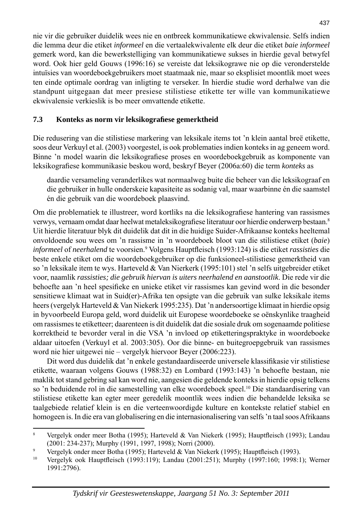nie vir die gebruiker duidelik wees nie en ontbreek kommunikatiewe ekwivalensie. Selfs indien die lemma deur die etiket *informeel* en die vertaalekwivalente elk deur die etiket *baie informeel*  gemerk word, kan die bewerkstelliging van kommunikatiewe sukses in hierdie geval betwyfel word. Ook hier geld Gouws (1996:16) se vereiste dat leksikograwe nie op die veronderstelde intuïsies van woordeboekgebruikers moet staatmaak nie, maar so eksplisiet moontlik moet wees ten einde optimale oordrag van inligting te verseker. In hierdie studie word derhalwe van die standpunt uitgegaan dat meer presiese stilistiese etikette ter wille van kommunikatiewe ekwivalensie verkieslik is bo meer omvattende etikette.

### **7.3 Konteks as norm vir leksikografi ese gemerktheid**

Die redusering van die stilistiese markering van leksikale items tot 'n klein aantal breë etikette, soos deur Verkuyl et al. (2003) voorgestel, is ook problematies indien konteks in ag geneem word. Binne 'n model waarin die leksikografiese proses en woordeboekgebruik as komponente van leksikografiese kommunikasie beskou word, beskryf Beyer (2006a:60) die term *konteks* as

 daardie versameling veranderlikes wat normaalweg buite die beheer van die leksikograaf en die gebruiker in hulle onderskeie kapasiteite as sodanig val, maar waarbinne én die saamstel én die gebruik van die woordeboek plaasvind.

Om die problematiek te illustreer, word kortliks na die leksikografiese hantering van rassismes verwys, vernaam omdat daar heelwat metaleksikografiese literatuur oor hierdie onderwerp bestaan.<sup>8</sup> Uit hierdie literatuur blyk dit duidelik dat dit in die huidige Suider-Afrikaanse konteks heeltemal onvoldoende sou wees om 'n rassisme in 'n woordeboek bloot van die stilistiese etiket (*baie*) informeel of neerhalend te voorsien.<sup>9</sup> Volgens Hauptfleisch (1993:124) is die etiket *rassisties* die beste enkele etiket om die woordeboekgebruiker op die funksioneel-stilistiese gemerktheid van so 'n leksikale item te wys. Harteveld & Van Nierkerk (1995:101) stel 'n selfs uitgebreider etiket voor, naamlik *rassisties; die gebruik hiervan is uiters neerhalend en aanstootlik*. Die rede vir die behoefte aan 'n heel spesifieke en unieke etiket vir rassismes kan gevind word in die besonder sensitiewe klimaat wat in Suid(er)-Afrika ten opsigte van die gebruik van sulke leksikale items heers (vergelyk Harteveld & Van Niekerk 1995:235). Dat 'n andersoortige klimaat in hierdie opsig in byvoorbeeld Europa geld, word duidelik uit Europese woordeboeke se oënskynlike traagheid om rassismes te etiketteer; daarenteen is dit duidelik dat die sosiale druk om sogenaamde politiese korrektheid te bevorder veral in die VSA 'n invloed op etiketteringspraktyke in woordeboeke aldaar uitoefen (Verkuyl et al. 2003:305). Oor die binne- en buitegroepgebruik van rassismes word nie hier uitgewei nie – vergelyk hiervoor Beyer (2006:223).

Dit word dus duidelik dat 'n enkele gestandaardiseerde universele klassifikasie vir stilistiese etikette, waaraan volgens Gouws (1988:32) en Lombard (1993:143) 'n behoefte bestaan, nie maklik tot stand gebring sal kan word nie, aangesien die geldende konteks in hierdie opsig telkens so 'n beduidende rol in die samestelling van elke woordeboek speel.10 Die standaardisering van stilistiese etikette kan egter meer geredelik moontlik wees indien die behandelde leksika se taalgebiede relatief klein is en die verteenwoordigde kulture en kontekste relatief stabiel en homogeen is. In die era van globalisering en die internasionalisering van selfs 'n taal soos Afrikaans

<sup>8</sup> Vergelyk onder meer Botha (1995); Harteveld & Van Niekerk (1995); Hauptfleisch (1993); Landau (2001: 234-237); Murphy (1991, 1997, 1998); Norri (2000).

 $\overline{9}$ Vergelyk onder meer Botha (1995); Harteveld & Van Niekerk (1995); Hauptfleisch (1993).

<sup>&</sup>lt;sup>10</sup> Vergelyk ook Hauptfleisch (1993:119); Landau (2001:251); Murphy (1997:160; 1998:1); Werner 1991:2796).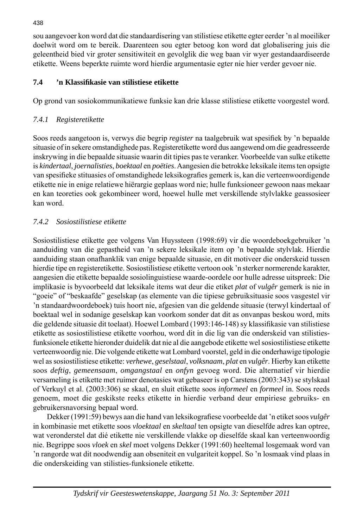sou aangevoer kon word dat die standaardisering van stilistiese etikette egter eerder 'n al moeiliker doelwit word om te bereik. Daarenteen sou egter betoog kon word dat globalisering juis die geleentheid bied vir groter sensitiwiteit en gevolglik die weg baan vir wyer gestandaardiseerde etikette. Weens beperkte ruimte word hierdie argumentasie egter nie hier verder gevoer nie.

# **7.4 'n Klassifi kasie van stilistiese etikette**

Op grond van sosiokommunikatiewe funksie kan drie klasse stilistiese etikette voorgestel word.

# *7.4.1 Registeretikette*

Soos reeds aangetoon is, verwys die begrip *register* na taalgebruik wat spesifiek by 'n bepaalde situasie of in sekere omstandighede pas. Registeretikette word dus aangewend om die geadresseerde inskrywing in die bepaalde situasie waarin dit tipies pas te veranker. Voorbeelde van sulke etikette is *kindertaal*, *joernalisties*, *boektaal* en *poëties*. Aangesien die betrokke leksikale items ten opsigte van spesifieke stituasies of omstandighede leksikografies gemerk is, kan die verteenwoordigende etikette nie in enige relatiewe hiërargie geplaas word nie; hulle funksioneer gewoon naas mekaar en kan teoreties ook gekombineer word, hoewel hulle met verskillende stylvlakke geassosieer kan word.

# *7.4.2 Sosiostilistiese etikette*

Sosiostilistiese etikette gee volgens Van Huyssteen (1998:69) vir die woordeboekgebruiker 'n aanduiding van die gepastheid van 'n sekere leksikale item op 'n bepaalde stylvlak. Hierdie aanduiding staan onafhanklik van enige bepaalde situasie, en dit motiveer die onderskeid tussen hierdie tipe en registeretikette. Sosiostilistiese etikette vertoon ook 'n sterker normerende karakter, aangesien die etikette bepaalde sosiolinguistiese waarde-oordele oor hulle adresse uitspreek: Die implikasie is byvoorbeeld dat leksikale items wat deur die etiket *plat* of *vulgêr* gemerk is nie in "goeie" of "beskaafde" geselskap (as elemente van die tipiese gebruiksituasie soos vasgestel vir 'n standaardwoordeboek) tuis hoort nie, afgesien van die geldende situasie (terwyl kindertaal of boektaal wel in sodanige geselskap kan voorkom sonder dat dit as onvanpas beskou word, mits die geldende situasie dit toelaat). Hoewel Lombard (1993:146-148) sy klassifikasie van stilistiese etikette as sosiostilistiese etikette voorhou, word dit in die lig van die onderskeid van stilistiesfunksionele etikette hieronder duidelik dat nie al die aangebode etikette wel sosiostilistiese etikette verteenwoordig nie. Die volgende etikette wat Lombard voorstel, geld in die onderhawige tipologie wel as sosiostilistiese etikette: *verhewe*, *geselstaal*, *volksnaam*, *plat* en *vulgêr*. Hierby kan etikette soos *deftig*, *gemeensaam*, *omgangstaal* en *onfyn* gevoeg word. Die alternatief vir hierdie versameling is etikette met ruimer denotasies wat gebaseer is op Carstens (2003:343) se stylskaal of Verkuyl et al. (2003:306) se skaal, en sluit etikette soos *informeel* en *formeel* in. Soos reeds genoem, moet die geskikste reeks etikette in hierdie verband deur empiriese gebruiks- en gebruikersnavorsing bepaal word.

Dekker (1991:59) bewys aan die hand van leksikografiese voorbeelde dat 'n etiket soos *vulgêr* in kombinasie met etikette soos *vloektaal* en *skeltaal* ten opsigte van dieselfde adres kan optree, wat veronderstel dat dié etikette nie verskillende vlakke op dieselfde skaal kan verteenwoordig nie. Begrippe soos *vloek* en *skel* moet volgens Dekker (1991:60) heeltemal losgemaak word van 'n rangorde wat dit noodwendig aan obseniteit en vulgariteit koppel. So 'n losmaak vind plaas in die onderskeiding van stilisties-funksionele etikette.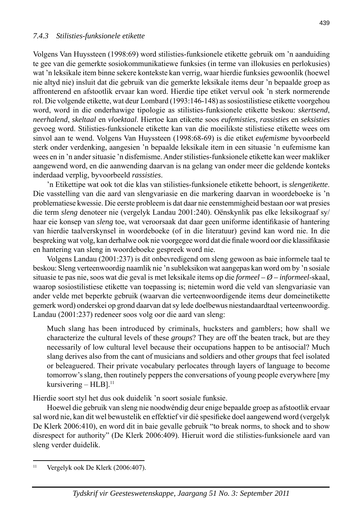Volgens Van Huyssteen (1998:69) word stilisties-funksionele etikette gebruik om 'n aanduiding te gee van die gemerkte sosiokommunikatiewe funksies (in terme van illokusies en perlokusies) wat 'n leksikale item binne sekere kontekste kan verrig, waar hierdie funksies gewoonlik (hoewel nie altyd nie) insluit dat die gebruik van die gemerkte leksikale items deur 'n bepaalde groep as affronterend en afstootlik ervaar kan word. Hierdie tipe etiket vervul ook 'n sterk normerende rol. Die volgende etikette, wat deur Lombard (1993:146-148) as sosiostilistiese etikette voorgehou word, word in die onderhawige tipologie as stilisties-funksionele etikette beskou: *skertsend*, *neerhalend*, *skeltaal* en *vloektaal*. Hiertoe kan etikette soos *eufemisties*, *rassisties* en *seksisties* gevoeg word. Stilisties-funksionele etikette kan van die moeilikste stilistiese etikette wees om sinvol aan te wend. Volgens Van Huyssteen (1998:68-69) is die etiket *eufemisme* byvoorbeeld sterk onder verdenking, aangesien 'n bepaalde leksikale item in een situasie 'n eufemisme kan wees en in 'n ander situasie 'n disfemisme. Ander stilisties-funksionele etikette kan weer makliker aangewend word, en die aanwending daarvan is na gelang van onder meer die geldende konteks inderdaad verplig, byvoorbeeld *rassisties*.

 'n Etikettipe wat ook tot die klas van stilisties-funksionele etikette behoort, is *slengetikette*. Die vasstelling van die aard van slengvariasie en die markering daarvan in woordeboeke is 'n problematiese kwessie. Die eerste probleem is dat daar nie eenstemmigheid bestaan oor wat presies die term *sleng* denoteer nie (vergelyk Landau 2001:240). Oënskynlik pas elke leksikograaf sy/ haar eie konsep van *sleng* toe, wat veroorsaak dat daar geen uniforme identifikasie of hantering van hierdie taalverskynsel in woordeboeke (of in die literatuur) gevind kan word nie. In die bespreking wat volg, kan derhalwe ook nie voorgegee word dat die finale woord oor die klassifikasie en hantering van sleng in woordeboeke gespreek word nie.

 Volgens Landau (2001:237) is dit onbevredigend om sleng gewoon as baie informele taal te beskou: Sleng verteenwoordig naamlik nie 'n subleksikon wat aangepas kan word om by 'n sosiale situasie te pas nie, soos wat die geval is met leksikale items op die *formeel – Ø – informeel*-skaal, waarop sosiostilistiese etikette van toepassing is; nietemin word die veld van slengvariasie van ander velde met beperkte gebruik (waarvan die verteenwoordigende items deur domeinetikette gemerk word) onderskei op grond daarvan dat sy lede doelbewus niestandaardtaal verteenwoordig. Landau (2001:237) redeneer soos volg oor die aard van sleng:

 Much slang has been introduced by criminals, hucksters and gamblers; how shall we characterize the cultural levels of these *groups*? They are off the beaten track, but are they necessarily of low cultural level because their occupations happen to be antisocial? Much slang derives also from the cant of musicians and soldiers and other *groups* that feel isolated or beleaguered. Their private vocabulary perlocates through layers of language to become tomorrow's slang, then routinely peppers the conversations of young people everywhere [my kursivering –  $HLB$ ].<sup>11</sup>

Hierdie soort styl het dus ook duidelik 'n soort sosiale funksie.

 Hoewel die gebruik van sleng nie noodwéndig deur enige bepaalde groep as afstootlik ervaar sal word nie, kan dit wel bewustelik en effektief vir dié spesifieke doel aangewend word (vergelyk De Klerk 2006:410), en word dit in baie gevalle gebruik "to break norms, to shock and to show disrespect for authority" (De Klerk 2006:409). Hieruit word die stilisties-funksionele aard van sleng verder duidelik.

 $11$  Vergelyk ook De Klerk (2006:407).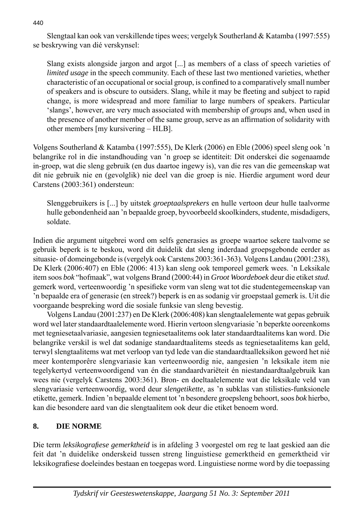Slengtaal kan ook van verskillende tipes wees; vergelyk Southerland & Katamba (1997:555) se beskrywing van dié verskynsel:

 Slang exists alongside jargon and argot [...] as members of a class of speech varieties of *limited usage* in the speech community. Each of these last two mentioned varieties, whether characteristic of an occupational or social group, is confined to a comparatively small number of speakers and is obscure to outsiders. Slang, while it may be fleeting and subject to rapid change, is more widespread and more familiar to large numbers of speakers. Particular 'slangs', however, are very much associated with membership of *groups* and, when used in the presence of another member of the same group, serve as an affirmation of solidarity with other members [my kursivering – HLB].

Volgens Southerland & Katamba (1997:555), De Klerk (2006) en Eble (2006) speel sleng ook 'n belangrike rol in die instandhouding van 'n groep se identiteit: Dit onderskei die sogenaamde in-groep, wat die sleng gebruik (en dus daartoe ingewy is), van die res van die gemeenskap wat dit nie gebruik nie en (gevolglik) nie deel van die groep is nie. Hierdie argument word deur Carstens (2003:361) ondersteun:

 Slenggebruikers is [...] by uitstek *groeptaalsprekers* en hulle vertoon deur hulle taalvorme hulle gebondenheid aan 'n bepaalde groep, byvoorbeeld skoolkinders, studente, misdadigers, soldate.

Indien die argument uitgebrei word om selfs generasies as groepe waartoe sekere taalvome se gebruik beperk is te beskou, word dit duidelik dat sleng inderdaad groepsgebonde eerder as situasie- of domeingebonde is (vergelyk ook Carstens 2003:361-363). Volgens Landau (2001:238), De Klerk (2006:407) en Eble (2006: 413) kan sleng ook temporeel gemerk wees. 'n Leksikale item soos *bok* "hofmaak", wat volgens Brand (2000:44) in *Groot Woordeboek* deur die etiket *stud.* gemerk word, verteenwoordig 'n spesifieke vorm van sleng wat tot die studentegemeenskap van 'n bepaalde era of generasie (en streek?) beperk is en as sodanig vir groepstaal gemerk is. Uit die voorgaande bespreking word die sosiale funksie van sleng bevestig.

 Volgens Landau (2001:237) en De Klerk (2006:408) kan slengtaalelemente wat gepas gebruik word wel later standaardtaalelemente word. Hierin vertoon slengvariasie 'n beperkte ooreenkoms met tegniesetaalvariasie, aangesien tegniesetaalitems ook later standaardtaalitems kan word. Die belangrike verskil is wel dat sodanige standaardtaalitems steeds as tegniesetaalitems kan geld, terwyl slengtaalitems wat met verloop van tyd lede van die standaardtaalleksikon geword het nié meer kontemporêre slengvariasie kan verteenwoordig nie, aangesien 'n leksikale item nie tegelykertyd verteenwoordigend van én die standaardvariëteit én niestandaardtaalgebruik kan wees nie (vergelyk Carstens 2003:361). Bron- en doeltaalelemente wat die leksikale veld van slengvariasie verteenwoordig, word deur *slengetikette*, as 'n subklas van stilisties-funksionele etikette, gemerk. Indien 'n bepaalde element tot 'n besondere groepsleng behoort, soos *bok* hierbo, kan die besondere aard van die slengtaalitem ook deur die etiket benoem word.

# **8. DIE NORME**

Die term *leksikografi ese gemerktheid* is in afdeling 3 voorgestel om reg te laat geskied aan die feit dat 'n duidelike onderskeid tussen streng linguistiese gemerktheid en gemerktheid vir leksikografiese doeleindes bestaan en toegepas word. Linguistiese norme word by die toepassing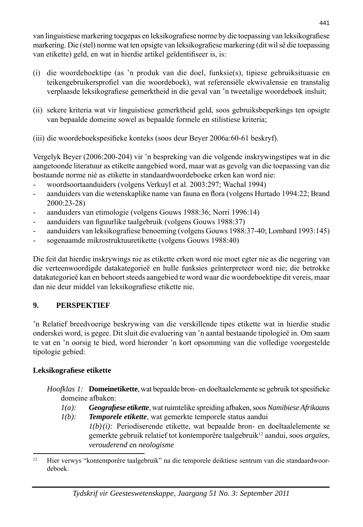van linguistiese markering toegepas en leksikografiese norme by die toepassing van leksikografiese markering. Die (stel) norme wat ten opsigte van leksikografiese markering (dit wil sê die toepassing van etikette) geld, en wat in hierdie artikel geïdentifiseer is, is:

- (i) die woordeboektipe (as 'n produk van die doel, funksie(s), tipiese gebruiksituasie en teikengebruikersprofiel van die woordeboek), wat referensiële ekwivalensie en transtalig verplaasde leksikografiese gemerktheid in die geval van 'n tweetalige woordeboek insluit;
- (ii) sekere kriteria wat vir linguistiese gemerktheid geld, soos gebruiksbeperkings ten opsigte van bepaalde domeine sowel as bepaalde formele en stilistiese kriteria;
- (iii) die woordeboekspesifieke konteks (soos deur Beyer 2006a:60-61 beskryf).

Vergelyk Beyer (2006:200-204) vir 'n bespreking van die volgende inskrywingstipes wat in die aangetoonde literatuur as etikette aangebied word, maar wat as gevolg van die toepassing van die bostaande norme nié as etikette in standaardwoordeboeke erken kan word nie:

- woordsoortaanduiders (volgens Verkuyl et al. 2003:297; Wachal 1994)
- aanduiders van die wetenskaplike name van fauna en flora (volgens Hurtado 1994:22; Brand 2000:23-28)
- aanduiders van etimologie (volgens Gouws 1988:36; Norri 1996:14)
- aanduiders van figuurlike taalgebruik (volgens Gouws 1988:37)
- aanduiders van leksikografiese benoeming (volgens Gouws 1988:37-40; Lombard 1993:145)
- sogenaamde mikrostruktuuretikette (volgens Gouws 1988:40)

Die feit dat hierdie inskrywings nie as etikette erken word nie moet egter nie as die negering van die verteenwoordigde datakategorieë en hulle funksies geïnterpreteer word nie; die betrokke datakategorieë kan en behoort steeds aangebied te word waar die woordeboektipe dit vereis, maar dan nie deur middel van leksikografiese etikette nie.

# **9. PERSPEKTIEF**

'n Relatief breedvoerige beskrywing van die verskillende tipes etikette wat in hierdie studie onderskei word, is gegee. Dit sluit die evaluering van 'n aantal bestaande tipologieë in. Om saam te vat en 'n oorsig te bied, word hieronder 'n kort opsomming van die volledige voorgestelde tipologie gebied:

# **Leksikografi ese etikette**

- *Hoofklas 1:* **Domeinetikette**, wat bepaalde bron- en doeltaalelemente se gebruik tot spesifieke domeine afbaken:
	- *1(a): Geografi ese etikette*, wat ruimtelike spreiding afbaken, soos *Namibiese Afrikaans 1(b): Temporele etikette*, wat gemerkte temporele status aandui
		- *1(b) (i):* Periodiserende etikette, wat bepaalde bron- en doeltaalelemente se gemerkte gebruik relatief tot kontemporêre taalgebruik12 aandui, soos *argaïes*, *verouderend* en *neologisme*

<sup>&</sup>lt;sup>12</sup> Hier verwys "kontemporêre taalgebruik" na die temporele deiktiese sentrum van die standaardwoordeboek.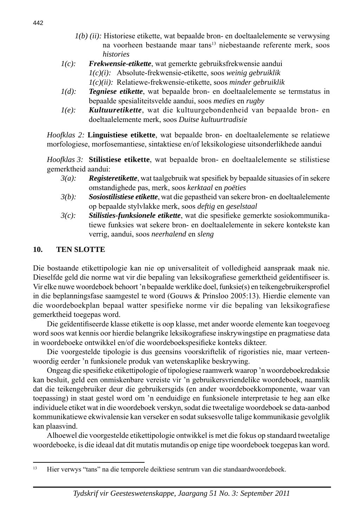- *1(b) (ii):* Historiese etikette, wat bepaalde bron- en doeltaalelemente se verwysing na voorheen bestaande maar tans<sup>13</sup> niebestaande referente merk, soos *histories*
- *1(c): Frekwensie-etikette*, wat gemerkte gebruiksfrekwensie aandui *1(c)(i):* Absolute-frekwensie-etikette, soos *weinig gebruiklik 1(c)(ii):* Relatiewe-frekwensie-etikette, soos *minder gebruiklik*
- *1(d): Tegniese etikette*, wat bepaalde bron- en doeltaalelemente se termstatus in bepaalde spesialiteitsvelde aandui, soos *medies* en *rugby*
- *1(e): Kultuuretikette*, wat die kultuurgebondenheid van bepaalde bron- en doeltaalelemente merk, soos *Duitse kultuurtradisie*

 *Hoofklas 2:* **Linguistiese etikette**, wat bepaalde bron- en doeltaalelemente se relatiewe morfologiese, morfosemantiese, sintaktiese en/of leksikologiese uitsonderlikhede aandui

 *Hoofklas 3:* **Stilistiese etikette**, wat bepaalde bron- en doeltaalelemente se stilistiese gemerktheid aandui:

- *3(a):* **Registeretikette**, wat taalgebruik wat spesifiek by bepaalde situasies of in sekere omstandighede pas, merk, soos *kerktaal* en *poëties*
- *3(b): Sosiostilistiese etikette*, wat die gepastheid van sekere bron- en doeltaalelemente op bepaalde stylvlakke merk, soos *deftig* en *geselstaal*
- *3(c):* Stilisties-funksionele etikette, wat die spesifieke gemerkte sosiokommunikatiewe funksies wat sekere bron- en doeltaalelemente in sekere kontekste kan verrig, aandui, soos *neerhalend* en *sleng*

### **10. TEN SLOTTE**

Die bostaande etikettipologie kan nie op universaliteit of volledigheid aanspraak maak nie. Dieselfde geld die norme wat vir die bepaling van leksikografiese gemerktheid geïdentifiseer is. Vir elke nuwe woordeboek behoort 'n bepaalde werklike doel, funksie(s) en teikengebruikersprofiel in die beplanningsfase saamgestel te word (Gouws & Prinsloo 2005:13). Hierdie elemente van die woordeboekplan bepaal watter spesifieke norme vir die bepaling van leksikografiese gemerktheid toegepas word.

 Die geïdentifi seerde klasse etikette is oop klasse, met ander woorde elemente kan toegevoeg word soos wat kennis oor hierdie belangrike leksikografiese inskrywingstipe en pragmatiese data in woordeboeke ontwikkel en/of die woordeboekspesifieke konteks dikteer.

 Die voorgestelde tipologie is dus geensins voorskriftelik of rigoristies nie, maar verteenwoordig eerder 'n funksionele produk van wetenskaplike beskrywing.

Ongeag die spesifieke etikettipologie of tipologiese raamwerk waarop 'n woordeboekredaksie kan besluit, geld een onmiskenbare vereiste vir 'n gebruikersvriendelike woordeboek, naamlik dat die teikengebruiker deur die gebruikersgids (en ander woordeboekkomponente, waar van toepassing) in staat gestel word om 'n eenduidige en funksionele interpretasie te heg aan elke individuele etiket wat in die woordeboek verskyn, sodat die tweetalige woordeboek se data-aanbod kommunikatiewe ekwivalensie kan verseker en sodat suksesvolle talige kommunikasie gevolglik kan plaasvind.

 Alhoewel die voorgestelde etikettipologie ontwikkel is met die fokus op standaard tweetalige woordeboeke, is die ideaal dat dit mutatis mutandis op enige tipe woordeboek toegepas kan word.

<sup>&</sup>lt;sup>13</sup> Hier verwys "tans" na die temporele deiktiese sentrum van die standaardwoordeboek.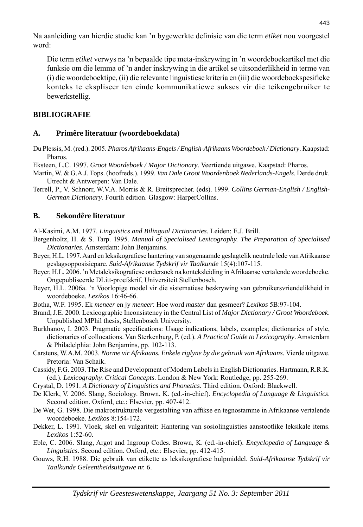Na aanleiding van hierdie studie kan 'n bygewerkte definisie van die term *etiket* nou voorgestel word:

 Die term *etiket* verwys na 'n bepaalde tipe meta-inskrywing in 'n woordeboekartikel met die funksie om die lemma of 'n ander inskrywing in die artikel se uitsonderlikheid in terme van (i) die woordeboektipe, (ii) die relevante linguistiese kriteria en (iii) die woordeboek spesifieke konteks te ekspliseer ten einde kommunikatiewe sukses vir die teikengebruiker te bewerkstellig.

### **BIBLIOGRAFIE**

### **A. Primêre literatuur (woordeboekdata)**

- Du Plessis, M. (red.). 2005. *Pharos Afrikaans-Engels / English-Afrikaans Woordeboek / Dictionary*. Kaapstad: Pharos
- Eksteen, L.C. 1997. *Groot Woordeboek / Major Dictionary*. Veertiende uitgawe. Kaapstad: Pharos.
- Martin, W. & G.A.J. Tops. (hoofreds.). 1999. *Van Dale Groot Woordenboek Nederlands-Engels*. Derde druk. Utrecht & Antwerpen: Van Dale.
- Terrell, P., V. Schnorr, W.V.A. Morris & R. Breitsprecher. (eds). 1999. *Collins German-English / English-German Dictionary*. Fourth edition. Glasgow: HarperCollins.

### **B. Sekondêre literatuur**

Al-Kasimi, A.M. 1977. *Linguistics and Bilingual Dictionaries*. Leiden: E.J. Brill.

- Bergenholtz, H. & S. Tarp. 1995. *Manual of Specialised Lexicography. The Preparation of Specialised Dictionaries*. Amsterdam: John Benjamins.
- Beyer, H.L. 1997. Aard en leksikografiese hantering van sogenaamde geslagtelik neutrale lede van Afrikaanse geslagsopposisiepare. *Suid-Afrikaanse Tydskrif vir Taalkunde* 15(4):107-115.
- Beyer, H.L. 2006. 'n Metaleksikografiese ondersoek na konteksleiding in Afrikaanse vertalende woordeboeke. Ongepubliseerde DLitt-proefskrif, Universiteit Stellenbosch.
- Beyer, H.L. 2006a. 'n Voorlopige model vir die sistematiese beskrywing van gebruikersvriendelikheid in woordeboeke. *Lexikos* 16:46-66.
- Botha, W.F. 1995. Ek *meneer* en jy *meneer*: Hoe word *master* dan gesmeer? *Lexikos* 5B:97-104.
- Brand, J.E. 2000. Lexicographic Inconsistency in the Central List of *Major Dictionary / Groot Woordeboek*. Unpublished MPhil thesis, Stellenbosch University.
- Burkhanov, I. 2003. Pragmatic specifications: Usage indications, labels, examples; dictionaries of style, dictionaries of collocations. Van Sterkenburg, P. (ed.). *A Practical Guide to Lexicography*. Amsterdam & Philadelphia: John Benjamins, pp. 102-113.
- Carstens, W.A.M. 2003. *Norme vir Afrikaans. Enkele riglyne by die gebruik van Afrikaans*. Vierde uitgawe. Pretoria: Van Schaik.
- Cassidy, F.G. 2003. The Rise and Development of Modern Labels in English Dictionaries. Hartmann, R.R.K. (ed.). *Lexicography. Critical Concepts*. London & New York: Routledge, pp. 255-269.
- Crystal, D. 1991. *A Dictionary of Linguistics and Phonetics*. Third edition. Oxford: Blackwell.
- De Klerk, V. 2006. Slang, Sociology. Brown, K. (ed.-in-chief). *Encyclopedia of Language & Linguistics*. Second edition. Oxford, etc.: Elsevier, pp. 407-412.
- De Wet, G. 1998. Die makrostrukturele vergestalting van affi kse en tegnostamme in Afrikaanse vertalende woordeboeke. *Lexikos* 8:154-172.
- Dekker, L. 1991. Vloek, skel en vulgariteit: Hantering van sosiolinguisties aanstootlike leksikale items. *Lexikos* 1:52-60.
- Eble, C. 2006. Slang, Argot and Ingroup Codes. Brown, K. (ed.-in-chief). *Encyclopedia of Language & Linguistics*. Second edition. Oxford, etc.: Elsevier, pp. 412-415.
- Gouws, R.H. 1988. Die gebruik van etikette as leksikografiese hulpmiddel. *Suid-Afrikaanse Tydskrif vir Taalkunde Geleentheidsuitgawe nr. 6*.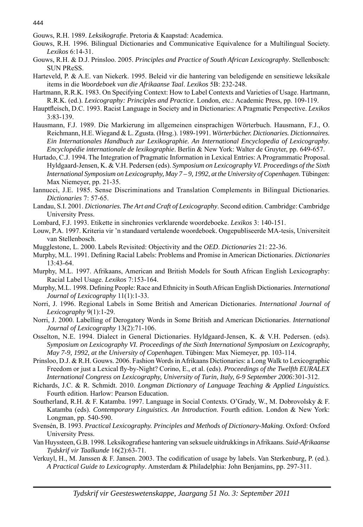Gouws, R.H. 1989. *Leksikografie*. Pretoria & Kaapstad: Academica.

- Gouws, R.H. 1996. Bilingual Dictionaries and Communicative Equivalence for a Multilingual Society. *Lexikos* 6:14-31.
- Gouws, R.H. & D.J. Prinsloo. 2005. *Principles and Practice of South African Lexicography*. Stellenbosch: SUN PReSS.
- Harteveld, P. & A.E. van Niekerk. 1995. Beleid vir die hantering van beledigende en sensitiewe leksikale items in die *Woordeboek van die Afrikaanse Taal*. *Lexikos* 5B: 232-248.
- Hartmann, R.R.K. 1983. On Specifying Context: How to Label Contexts and Varieties of Usage. Hartmann, R.R.K. (ed.). *Lexicography: Principles and Practice*. London, etc.: Academic Press, pp. 109-119.
- Hauptfl eisch, D.C. 1993. Racist Language in Society and in Dictionaries: A Pragmatic Perspective. *Lexikos* 3:83-139.
- Hausmann, F.J. 1989. Die Markierung im allgemeinen einsprachigen Wörterbuch. Hausmann, F.J., O. Reichmann, H.E. Wiegand & L. Zgusta. (Hrsg.). 1989-1991. *Wörterbücher. Dictionaries. Dictionnaires. Ein Internationales Handbuch zur Lexikographie. An International Encyclopedia of Lexicography*. *Encyclopédie internationale de lexikographie*. Berlin & New York: Walter de Gruyter, pp. 649-657.
- Hurtado, C.J. 1994. The Integration of Pragmatic Information in Lexical Entries: A Programmatic Proposal. Hyldgaard-Jensen, K. & V.H. Pedersen (eds). *Symposium on Lexicography VI. Proceedings of the Sixth International Symposium on Lexicography, May 7 – 9, 1992, at the University of Copenhagen*. Tübingen: Max Niemeyer, pp. 21-35.
- Iannucci, J.E. 1985. Sense Discriminations and Translation Complements in Bilingual Dictionaries. *Dictionaries* 7: 57-65.
- Landau, S.I. 2001. *Dictionaries. The Art and Craft of Lexicography*. Second edition. Cambridge: Cambridge University Press.
- Lombard, F.J. 1993. Etikette in sinchronies verklarende woordeboeke. *Lexikos* 3: 140-151.
- Louw, P.A. 1997. Kriteria vir 'n standaard vertalende woordeboek. Ongepubliseerde MA-tesis, Universiteit van Stellenbosch.
- Mugglestone, L. 2000. Labels Revisited: Objectivity and the *OED*. *Dictionaries* 21: 22-36.
- Murphy, M.L. 1991. Defining Racial Labels: Problems and Promise in American Dictionaries. *Dictionaries* 13:43-64.
- Murphy, M.L. 1997. Afrikaans, American and British Models for South African English Lexicography: Racial Label Usage. *Lexikos* 7:153-164.
- Murphy, M.L. 1998. Defining People: Race and Ethnicity in South African English Dictionaries. *International Journal of Lexicography* 11(1):1-33.
- Norri, J. 1996. Regional Labels in Some British and American Dictionaries. *International Journal of Lexicography* 9(1):1-29.
- Norri, J. 2000. Labelling of Derogatory Words in Some British and American Dictionaries. *International Journal of Lexicography* 13(2):71-106.
- Osselton, N.E. 1994. Dialect in General Dictionaries. Hyldgaard-Jensen, K. & V.H. Pedersen. (eds). *Symposium on Lexicography VI. Proceedings of the Sixth International Symposium on Lexicography, May 7-9, 1992, at the University of Copenhagen*. Tübingen: Max Niemeyer, pp. 103-114.
- Prinsloo, D.J. & R.H. Gouws. 2006. Fashion Words in Afrikaans Dictionaries: a Long Walk to Lexicographic Freedom or just a Lexical fly-by-Night? Corino, E., et al. (eds). *Proceedings of the Twelfth EURALEX International Congress on Lexicography, University of Turin, Italy, 6-9 September 2006:*301-312.
- Richards, J.C. & R. Schmidt. 2010. *Longman Dictionary of Language Teaching & Applied Linguistics.* Fourth edition. Harlow: Pearson Education.
- Southerland, R.H. & F. Katamba. 1997. Language in Social Contexts. O'Grady, W., M. Dobrovolsky & F. Katamba (eds). *Contemporary Linguistics. An Introduction*. Fourth edition. London & New York: Longman, pp. 540-590.
- Svensén, B. 1993. *Practical Lexicography. Principles and Methods of Dictionary-Making*. Oxford: Oxford University Press.
- Van Huyssteen, G.B. 1998. Leksikografi ese hantering van seksuele uitdrukkings in Afrikaans. *Suid-Afrikaanse Tydskrif vir Taalkunde* 16(2):63-71.
- Verkuyl, H., M. Janssen & F. Jansen. 2003. The codification of usage by labels. Van Sterkenburg, P. (ed.). *A Practical Guide to Lexicography*. Amsterdam & Philadelphia: John Benjamins, pp. 297-311.